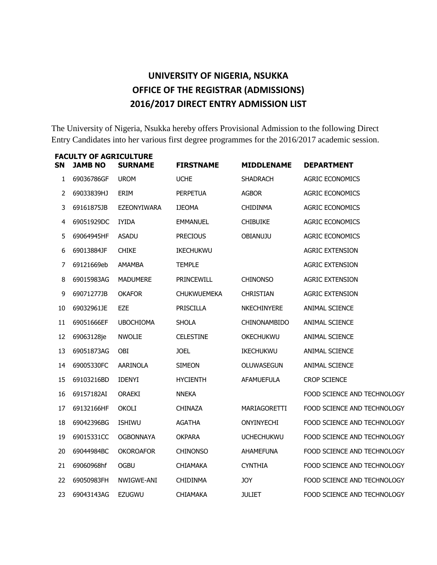### **UNIVERSITY OF NIGERIA, NSUKKA OFFICE OF THE REGISTRAR (ADMISSIONS) 2016/2017 DIRECT ENTRY ADMISSION LIST**

The University of Nigeria, Nsukka hereby offers Provisional Admission to the following Direct Entry Candidates into her various first degree programmes for the 2016/2017 academic session.

|    | <b>FACULTY OF AGRICULTURE</b> |                    |                    |                     |                             |
|----|-------------------------------|--------------------|--------------------|---------------------|-----------------------------|
| SN | <b>JAMB NO</b>                | <b>SURNAME</b>     | <b>FIRSTNAME</b>   | <b>MIDDLENAME</b>   | <b>DEPARTMENT</b>           |
| 1  | 69036786GF                    | <b>UROM</b>        | <b>UCHE</b>        | <b>SHADRACH</b>     | <b>AGRIC ECONOMICS</b>      |
| 2  | 69033839HJ                    | ERIM               | <b>PERPETUA</b>    | <b>AGBOR</b>        | <b>AGRIC ECONOMICS</b>      |
| 3  | 69161875JB                    | <b>EZEONYIWARA</b> | <b>IJEOMA</b>      | <b>CHIDINMA</b>     | <b>AGRIC ECONOMICS</b>      |
| 4  | 69051929DC                    | <b>IYIDA</b>       | <b>EMMANUEL</b>    | <b>CHIBUIKE</b>     | <b>AGRIC ECONOMICS</b>      |
| 5  | 69064945HF                    | <b>ASADU</b>       | <b>PRECIOUS</b>    | <b>OBIANUJU</b>     | <b>AGRIC ECONOMICS</b>      |
| 6  | 69013884JF                    | <b>CHIKE</b>       | IKECHUKWU          |                     | <b>AGRIC EXTENSION</b>      |
| 7  | 69121669eb                    | AMAMBA             | <b>TEMPLE</b>      |                     | <b>AGRIC EXTENSION</b>      |
| 8  | 69015983AG                    | <b>MADUMERE</b>    | PRINCEWILL         | <b>CHINONSO</b>     | <b>AGRIC EXTENSION</b>      |
| 9  | 69071277JB                    | <b>OKAFOR</b>      | <b>CHUKWUEMEKA</b> | <b>CHRISTIAN</b>    | <b>AGRIC EXTENSION</b>      |
| 10 | 69032961JE                    | EZE                | <b>PRISCILLA</b>   | NKECHINYERE         | <b>ANIMAL SCIENCE</b>       |
| 11 | 69051666EF                    | <b>UBOCHIOMA</b>   | <b>SHOLA</b>       | <b>CHINONAMBIDO</b> | ANIMAL SCIENCE              |
| 12 | 69063128je                    | <b>NWOLIE</b>      | <b>CELESTINE</b>   | OKECHUKWU           | <b>ANIMAL SCIENCE</b>       |
| 13 | 69051873AG                    | <b>OBI</b>         | <b>JOEL</b>        | <b>IKECHUKWU</b>    | ANIMAL SCIENCE              |
| 14 | 69005330FC                    | AARINOLA           | <b>SIMEON</b>      | OLUWASEGUN          | <b>ANIMAL SCIENCE</b>       |
| 15 | 69103216BD                    | <b>IDENYI</b>      | <b>HYCIENTH</b>    | <b>AFAMUEFULA</b>   | <b>CROP SCIENCE</b>         |
| 16 | 69157182AI                    | <b>ORAEKI</b>      | <b>NNEKA</b>       |                     | FOOD SCIENCE AND TECHNOLOGY |
| 17 | 69132166HF                    | <b>OKOLI</b>       | <b>CHINAZA</b>     | MARIAGORETTI        | FOOD SCIENCE AND TECHNOLOGY |
| 18 | 69042396BG                    | <b>ISHIWU</b>      | AGATHA             | ONYINYECHI          | FOOD SCIENCE AND TECHNOLOGY |
| 19 | 69015331CC                    | <b>OGBONNAYA</b>   | <b>OKPARA</b>      | <b>UCHECHUKWU</b>   | FOOD SCIENCE AND TECHNOLOGY |
| 20 | 69044984BC                    | <b>OKOROAFOR</b>   | <b>CHINONSO</b>    | <b>AHAMEFUNA</b>    | FOOD SCIENCE AND TECHNOLOGY |
| 21 | 69060968hf                    | <b>OGBU</b>        | <b>CHIAMAKA</b>    | <b>CYNTHIA</b>      | FOOD SCIENCE AND TECHNOLOGY |
| 22 | 69050983FH                    | NWIGWE-ANI         | <b>CHIDINMA</b>    | <b>JOY</b>          | FOOD SCIENCE AND TECHNOLOGY |
| 23 | 69043143AG                    | <b>EZUGWU</b>      | CHIAMAKA           | <b>JULIET</b>       | FOOD SCIENCE AND TECHNOLOGY |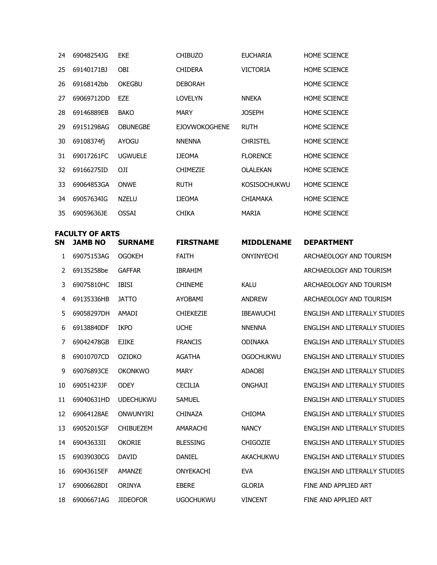| 24           | 69048254JG             | <b>EKE</b>      | <b>CHIBUZO</b>       | <b>EUCHARIA</b>     | HOME SCIENCE        |
|--------------|------------------------|-----------------|----------------------|---------------------|---------------------|
| 25           | 69140171BJ             | <b>OBI</b>      | <b>CHIDERA</b>       | <b>VICTORIA</b>     | <b>HOME SCIENCE</b> |
| 26           | 69168142bb             | <b>OKEGBU</b>   | <b>DEBORAH</b>       |                     | <b>HOME SCIENCE</b> |
| 27           | 69069712DD             | EZE             | LOVELYN              | <b>NNEKA</b>        | <b>HOME SCIENCE</b> |
| 28           | 69146889EB             | <b>BAKO</b>     | <b>MARY</b>          | <b>JOSEPH</b>       | <b>HOME SCIENCE</b> |
| 29           | 69151298AG             | <b>OBUNEGBE</b> | <b>EJOVWOKOGHENE</b> | <b>RUTH</b>         | <b>HOME SCIENCE</b> |
| 30           | 69108374fj             | <b>AYOGU</b>    | <b>NNENNA</b>        | <b>CHRISTEL</b>     | <b>HOME SCIENCE</b> |
| 31           | 69017261FC             | <b>UGWUELE</b>  | <b>IJEOMA</b>        | <b>FLORENCE</b>     | <b>HOME SCIENCE</b> |
| 32           | 69166275ID             | OJI             | <b>CHIMEZIE</b>      | <b>OLALEKAN</b>     | <b>HOME SCIENCE</b> |
| 33           | 69064853GA             | <b>ONWE</b>     | <b>RUTH</b>          | <b>KOSISOCHUKWU</b> | <b>HOME SCIENCE</b> |
| 34           | 69057634IG             | <b>NZELU</b>    | <b>IJEOMA</b>        | <b>CHIAMAKA</b>     | <b>HOME SCIENCE</b> |
| 35           | 69059636JE             | <b>OSSAI</b>    | <b>CHIKA</b>         | <b>MARIA</b>        | HOME SCIENCE        |
|              | <b>FACULTY OF ARTS</b> |                 |                      |                     |                     |
| SΝ           | <b>JAMB NO</b>         | <b>SURNAME</b>  | <b>FIRSTNAME</b>     | <b>MIDDLENAME</b>   | <b>DEPARTMENT</b>   |
| $\mathbf{1}$ | 69075153AG             | <b>OGOKEH</b>   | FAITH                | <b>ONYINYECHI</b>   | ARCHAEOLOGY AN      |

| 1. | 69075153AG | <b>OGOKEH</b>    | <b>FAITH</b>     | <b>ONYINYECHI</b> | ARCHAEOLOGY AND TOURISM              |
|----|------------|------------------|------------------|-------------------|--------------------------------------|
| 2  | 69135258be | <b>GAFFAR</b>    | <b>IBRAHIM</b>   |                   | ARCHAEOLOGY AND TOURISM              |
| 3  | 69075810HC | <b>IBISI</b>     | <b>CHINEME</b>   | <b>KALU</b>       | ARCHAEOLOGY AND TOURISM              |
| 4  | 69135336HB | <b>JATTO</b>     | <b>AYOBAMI</b>   | <b>ANDREW</b>     | ARCHAEOLOGY AND TOURISM              |
| 5  | 69058297DH | <b>AMADI</b>     | <b>CHIEKEZIE</b> | <b>IBEAWUCHI</b>  | ENGLISH AND LITERALLY STUDIES        |
| 6  | 69138840DF | <b>IKPO</b>      | <b>UCHE</b>      | <b>NNENNA</b>     | ENGLISH AND LITERALLY STUDIES        |
| 7  | 69042478GB | <b>EJIKE</b>     | <b>FRANCIS</b>   | <b>ODINAKA</b>    | ENGLISH AND LITERALLY STUDIES        |
| 8  | 69010707CD | <b>OZIOKO</b>    | <b>AGATHA</b>    | <b>OGOCHUKWU</b>  | ENGLISH AND LITERALLY STUDIES        |
| 9  | 69076893CE | <b>OKONKWO</b>   | <b>MARY</b>      | <b>ADAOBI</b>     | <b>ENGLISH AND LITERALLY STUDIES</b> |
| 10 | 69051423JF | <b>ODEY</b>      | <b>CECILIA</b>   | <b>ONGHAJI</b>    | ENGLISH AND LITERALLY STUDIES        |
| 11 | 69040631HD | <b>UDECHUKWU</b> | <b>SAMUEL</b>    |                   | ENGLISH AND LITERALLY STUDIES        |
| 12 | 69064128AE | ONWUNYIRI        | <b>CHINAZA</b>   | <b>CHIOMA</b>     | ENGLISH AND LITERALLY STUDIES        |
| 13 | 69052015GF | <b>CHIBUEZEM</b> | AMARACHI         | <b>NANCY</b>      | ENGLISH AND LITERALLY STUDIES        |
| 14 | 69043633II | <b>OKORIE</b>    | <b>BLESSING</b>  | <b>CHIGOZIE</b>   | <b>ENGLISH AND LITERALLY STUDIES</b> |
| 15 | 69039030CG | <b>DAVID</b>     | <b>DANIEL</b>    | <b>AKACHUKWU</b>  | ENGLISH AND LITERALLY STUDIES        |
| 16 | 69043615EF | <b>AMANZE</b>    | <b>ONYEKACHI</b> | <b>EVA</b>        | ENGLISH AND LITERALLY STUDIES        |
| 17 | 69006628DI | <b>ORINYA</b>    | <b>EBERE</b>     | <b>GLORIA</b>     | FINE AND APPLIED ART                 |
| 18 | 69006671AG | <b>JIDEOFOR</b>  | <b>UGOCHUKWU</b> | <b>VINCENT</b>    | FINE AND APPLIED ART                 |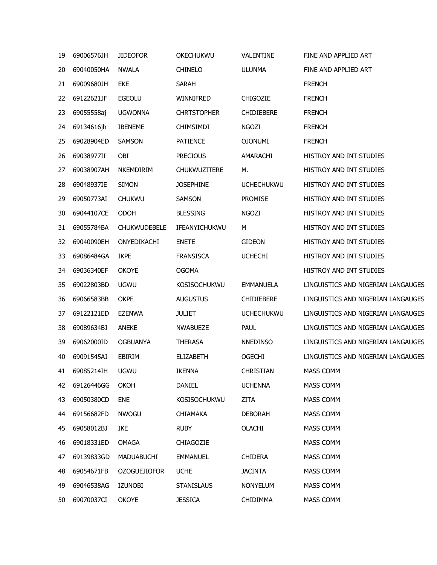| 19 | 69006576JH | <b>JIDEOFOR</b>     | <b>OKECHUKWU</b>    | VALENTINE         | FINE AND APPLIED ART               |
|----|------------|---------------------|---------------------|-------------------|------------------------------------|
| 20 | 69040050HA | <b>NWALA</b>        | <b>CHINELO</b>      | <b>ULUNMA</b>     | FINE AND APPLIED ART               |
| 21 | 69009680JH | EKE                 | <b>SARAH</b>        |                   | <b>FRENCH</b>                      |
| 22 | 69122621JF | <b>EGEOLU</b>       | WINNIFRED           | <b>CHIGOZIE</b>   | <b>FRENCH</b>                      |
| 23 | 69055558aj | <b>UGWONNA</b>      | <b>CHRTSTOPHER</b>  | <b>CHIDIEBERE</b> | <b>FRENCH</b>                      |
| 24 | 69134616jh | <b>IBENEME</b>      | <b>CHIMSIMDI</b>    | NGOZI             | <b>FRENCH</b>                      |
| 25 | 69028904ED | SAMSON              | <b>PATIENCE</b>     | <b>OJONUMI</b>    | <b>FRENCH</b>                      |
| 26 | 69038977II | OBI                 | <b>PRECIOUS</b>     | AMARACHI          | HISTROY AND INT STUDIES            |
| 27 | 69038907AH | NKEMDIRIM           | <b>CHUKWUZITERE</b> | М.                | HISTROY AND INT STUDIES            |
| 28 | 69048937IE | <b>SIMON</b>        | <b>JOSEPHINE</b>    | <b>UCHECHUKWU</b> | HISTROY AND INT STUDIES            |
| 29 | 69050773AI | <b>CHUKWU</b>       | SAMSON              | <b>PROMISE</b>    | HISTROY AND INT STUDIES            |
| 30 | 69044107CE | <b>ODOH</b>         | <b>BLESSING</b>     | <b>NGOZI</b>      | HISTROY AND INT STUDIES            |
| 31 | 69055784BA | <b>CHUKWUDEBELE</b> | IFEANYICHUKWU       | М                 | <b>HISTROY AND INT STUDIES</b>     |
| 32 | 69040090EH | ONYEDIKACHI         | <b>ENETE</b>        | <b>GIDEON</b>     | HISTROY AND INT STUDIES            |
| 33 | 69086484GA | <b>IKPE</b>         | <b>FRANSISCA</b>    | <b>UCHECHI</b>    | HISTROY AND INT STUDIES            |
| 34 | 69036340EF | <b>OKOYE</b>        | <b>OGOMA</b>        |                   | HISTROY AND INT STUDIES            |
| 35 | 69022803BD | <b>UGWU</b>         | <b>KOSISOCHUKWU</b> | EMMANUELA         | LINGUISTICS AND NIGERIAN LANGAUGES |
| 36 | 69066583BB | <b>OKPE</b>         | <b>AUGUSTUS</b>     | <b>CHIDIEBERE</b> | LINGUISTICS AND NIGERIAN LANGAUGES |
| 37 | 69122121ED | <b>EZENWA</b>       | <b>JULIET</b>       | <b>UCHECHUKWU</b> | LINGUISTICS AND NIGERIAN LANGAUGES |
| 38 | 69089634BJ | <b>ANEKE</b>        | <b>NWABUEZE</b>     | <b>PAUL</b>       | LINGUISTICS AND NIGERIAN LANGAUGES |
| 39 | 69062000ID | <b>OGBUANYA</b>     | <b>THERASA</b>      | <b>NNEDINSO</b>   | LINGUISTICS AND NIGERIAN LANGAUGES |
| 40 | 69091545AJ | EBIRIM              | <b>ELIZABETH</b>    | <b>OGECHI</b>     | LINGUISTICS AND NIGERIAN LANGAUGES |
| 41 | 69085214IH | <b>UGWU</b>         | <b>IKENNA</b>       | CHRISTIAN         | <b>MASS COMM</b>                   |
| 42 | 69126446GG | OKOH                | DANIEL              | <b>UCHENNA</b>    | MASS COMM                          |
| 43 | 69050380CD | <b>ENE</b>          | <b>KOSISOCHUKWU</b> | ZITA              | MASS COMM                          |
| 44 | 69156682FD | <b>NWOGU</b>        | <b>CHIAMAKA</b>     | <b>DEBORAH</b>    | <b>MASS COMM</b>                   |
| 45 | 69058012BJ | IKE                 | <b>RUBY</b>         | OLACHI            | MASS COMM                          |
| 46 | 69018331ED | OMAGA               | <b>CHIAGOZIE</b>    |                   | MASS COMM                          |
| 47 | 69139833GD | MADUABUCHI          | <b>EMMANUEL</b>     | <b>CHIDERA</b>    | MASS COMM                          |
| 48 | 69054671FB | <b>OZOGUEJIOFOR</b> | <b>UCHE</b>         | <b>JACINTA</b>    | MASS COMM                          |
| 49 | 69046538AG | <b>IZUNOBI</b>      | <b>STANISLAUS</b>   | <b>NONYELUM</b>   | MASS COMM                          |
| 50 | 69070037CI | <b>OKOYE</b>        | <b>JESSICA</b>      | <b>CHIDIMMA</b>   | MASS COMM                          |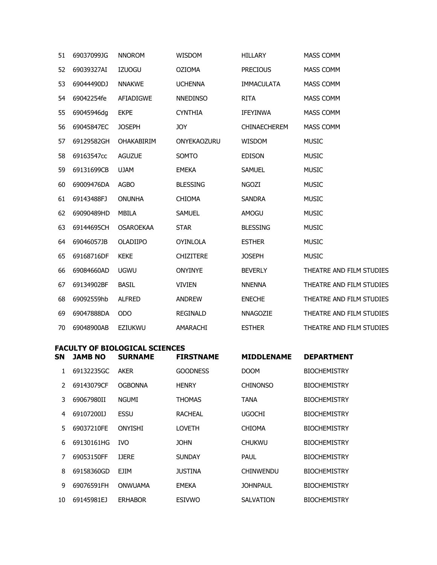| 51 | 69037099JG | <b>NNOROM</b>     | WISDOM           | <b>HILLARY</b>      | MASS COMM                |
|----|------------|-------------------|------------------|---------------------|--------------------------|
| 52 | 69039327AI | <b>IZUOGU</b>     | <b>OZIOMA</b>    | <b>PRECIOUS</b>     | MASS COMM                |
| 53 | 69044490DJ | <b>NNAKWE</b>     | <b>UCHENNA</b>   | <b>IMMACULATA</b>   | MASS COMM                |
| 54 | 69042254fe | <b>AFIADIGWE</b>  | <b>NNEDINSO</b>  | <b>RITA</b>         | MASS COMM                |
| 55 | 69045946dg | <b>EKPE</b>       | <b>CYNTHIA</b>   | <b>IFEYINWA</b>     | <b>MASS COMM</b>         |
| 56 | 69045847EC | <b>JOSEPH</b>     | <b>JOY</b>       | <b>CHINAECHEREM</b> | <b>MASS COMM</b>         |
| 57 | 69129582GH | <b>OHAKABIRIM</b> | ONYEKAOZURU      | <b>WISDOM</b>       | <b>MUSIC</b>             |
| 58 | 69163547cc | <b>AGUZUE</b>     | SOMTO            | <b>EDISON</b>       | <b>MUSIC</b>             |
| 59 | 69131699CB | <b>UJAM</b>       | <b>EMEKA</b>     | <b>SAMUEL</b>       | <b>MUSIC</b>             |
| 60 | 69009476DA | <b>AGBO</b>       | <b>BLESSING</b>  | <b>NGOZI</b>        | <b>MUSIC</b>             |
| 61 | 69143488FJ | <b>ONUNHA</b>     | <b>CHIOMA</b>    | <b>SANDRA</b>       | <b>MUSIC</b>             |
| 62 | 69090489HD | MBILA             | <b>SAMUEL</b>    | AMOGU               | <b>MUSIC</b>             |
| 63 | 69144695CH | <b>OSAROEKAA</b>  | <b>STAR</b>      | <b>BLESSING</b>     | <b>MUSIC</b>             |
| 64 | 69046057JB | OLADIIPO          | <b>OYINLOLA</b>  | <b>ESTHER</b>       | <b>MUSIC</b>             |
| 65 | 69168716DF | <b>KEKE</b>       | <b>CHIZITERE</b> | <b>JOSEPH</b>       | <b>MUSIC</b>             |
| 66 | 69084660AD | <b>UGWU</b>       | <b>ONYINYE</b>   | <b>BEVERLY</b>      | THEATRE AND FILM STUDIES |
| 67 | 69134902BF | <b>BASIL</b>      | <b>VIVIEN</b>    | <b>NNENNA</b>       | THEATRE AND FILM STUDIES |
| 68 | 69092559hb | <b>ALFRED</b>     | <b>ANDREW</b>    | <b>ENECHE</b>       | THEATRE AND FILM STUDIES |
| 69 | 69047888DA | ODO               | <b>REGINALD</b>  | NNAGOZIE            | THEATRE AND FILM STUDIES |
| 70 | 69048900AB | <b>EZIUKWU</b>    | AMARACHI         | <b>ESTHER</b>       | THEATRE AND FILM STUDIES |

### **FACULTY OF BIOLOGICAL SCIENCES**

| SΝ | <b>JAMB NO</b> | <b>SURNAME</b> | <b>FIRSTNAME</b> | <b>MIDDLENAME</b> | <b>DEPARTMENT</b>   |
|----|----------------|----------------|------------------|-------------------|---------------------|
| 1  | 69132235GC     | <b>AKER</b>    | <b>GOODNESS</b>  | <b>DOOM</b>       | <b>BIOCHEMISTRY</b> |
| 2  | 69143079CF     | <b>OGBONNA</b> | <b>HENRY</b>     | <b>CHINONSO</b>   | <b>BIOCHEMISTRY</b> |
| 3  | 69067980II     | <b>NGUMI</b>   | <b>THOMAS</b>    | TANA              | <b>BIOCHEMISTRY</b> |
| 4  | 69107200IJ     | ESSU           | <b>RACHEAL</b>   | <b>UGOCHI</b>     | <b>BIOCHEMISTRY</b> |
| 5. | 69037210FE     | <b>ONYISHI</b> | <b>LOVETH</b>    | <b>CHIOMA</b>     | <b>BIOCHEMISTRY</b> |
| 6  | 69130161HG     | IVO.           | JOHN             | <b>CHUKWU</b>     | <b>BIOCHEMISTRY</b> |
| 7  | 69053150FF     | <b>IJERE</b>   | <b>SUNDAY</b>    | <b>PAUL</b>       | <b>BIOCHEMISTRY</b> |
| 8  | 69158360GD     | EJIM           | <b>JUSTINA</b>   | <b>CHINWENDU</b>  | <b>BIOCHEMISTRY</b> |
| 9  | 69076591FH     | <b>ONWUAMA</b> | <b>EMEKA</b>     | <b>JOHNPAUL</b>   | <b>BIOCHEMISTRY</b> |
| 10 | 69145981EJ     | <b>ERHABOR</b> | <b>ESIVWO</b>    | <b>SALVATION</b>  | <b>BIOCHEMISTRY</b> |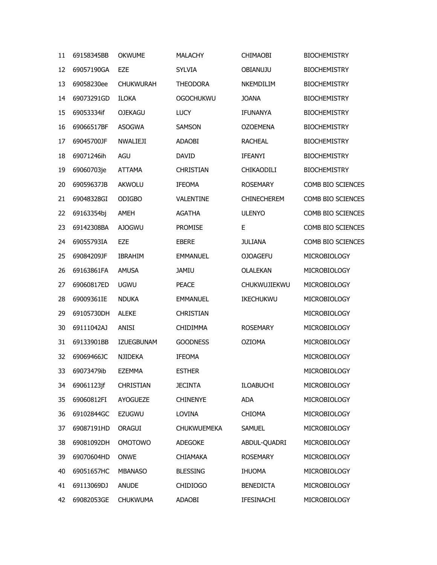| 11 | 69158345BB | <b>OKWUME</b>     | <b>MALACHY</b>     | <b>CHIMAOBI</b>    | <b>BIOCHEMISTRY</b> |
|----|------------|-------------------|--------------------|--------------------|---------------------|
| 12 | 69057190GA | <b>EZE</b>        | <b>SYLVIA</b>      | OBIANUJU           | <b>BIOCHEMISTRY</b> |
| 13 | 69058230ee | <b>CHUKWURAH</b>  | <b>THEODORA</b>    | NKEMDILIM          | <b>BIOCHEMISTRY</b> |
| 14 | 69073291GD | <b>ILOKA</b>      | <b>OGOCHUKWU</b>   | <b>JOANA</b>       | <b>BIOCHEMISTRY</b> |
| 15 | 69053334if | <b>OJEKAGU</b>    | <b>LUCY</b>        | <b>IFUNANYA</b>    | <b>BIOCHEMISTRY</b> |
| 16 | 69066517BF | <b>ASOGWA</b>     | <b>SAMSON</b>      | <b>OZOEMENA</b>    | <b>BIOCHEMISTRY</b> |
| 17 | 69045700JF | <b>NWALIEJI</b>   | <b>ADAOBI</b>      | <b>RACHEAL</b>     | <b>BIOCHEMISTRY</b> |
| 18 | 69071246ih | AGU               | <b>DAVID</b>       | <b>IFEANYI</b>     | <b>BIOCHEMISTRY</b> |
| 19 | 69060703je | <b>ATTAMA</b>     | <b>CHRISTIAN</b>   | CHIKAODILI         | <b>BIOCHEMISTRY</b> |
| 20 | 69059637JB | <b>AKWOLU</b>     | <b>IFEOMA</b>      | <b>ROSEMARY</b>    | COMB BIO SCIENCES   |
| 21 | 69048328GI | <b>ODIGBO</b>     | VALENTINE          | <b>CHINECHEREM</b> | COMB BIO SCIENCES   |
| 22 | 69163354bj | AMEH              | <b>AGATHA</b>      | <b>ULENYO</b>      | COMB BIO SCIENCES   |
| 23 | 69142308BA | <b>AJOGWU</b>     | <b>PROMISE</b>     | E                  | COMB BIO SCIENCES   |
| 24 | 69055793IA | EZE               | <b>EBERE</b>       | <b>JULIANA</b>     | COMB BIO SCIENCES   |
| 25 | 69084209JF | <b>IBRAHIM</b>    | <b>EMMANUEL</b>    | <b>OJOAGEFU</b>    | MICROBIOLOGY        |
| 26 | 69163861FA | <b>AMUSA</b>      | <b>JAMIU</b>       | OLALEKAN           | MICROBIOLOGY        |
| 27 | 69060817ED | <b>UGWU</b>       | <b>PEACE</b>       | CHUKWUJIEKWU       | MICROBIOLOGY        |
| 28 | 69009361IE | <b>NDUKA</b>      | <b>EMMANUEL</b>    | IKECHUKWU          | MICROBIOLOGY        |
| 29 | 69105730DH | <b>ALEKE</b>      | <b>CHRISTIAN</b>   |                    | MICROBIOLOGY        |
| 30 | 69111042AJ | <b>ANISI</b>      | <b>CHIDIMMA</b>    | <b>ROSEMARY</b>    | MICROBIOLOGY        |
| 31 | 69133901BB | <b>IZUEGBUNAM</b> | <b>GOODNESS</b>    | <b>OZIOMA</b>      | MICROBIOLOGY        |
| 32 | 69069466JC | <b>NJIDEKA</b>    | <b>IFEOMA</b>      |                    | MICROBIOLOGY        |
| 33 | 69073479ib | <b>EZEMMA</b>     | <b>ESTHER</b>      |                    | MICROBIOLOGY        |
| 34 | 69061123jf | <b>CHRISTIAN</b>  | <b>JECINTA</b>     | <b>ILOABUCHI</b>   | MICROBIOLOGY        |
| 35 | 69060812FI | <b>AYOGUEZE</b>   | <b>CHINENYE</b>    | <b>ADA</b>         | MICROBIOLOGY        |
| 36 | 69102844GC | <b>EZUGWU</b>     | LOVINA             | <b>CHIOMA</b>      | MICROBIOLOGY        |
| 37 | 69087191HD | <b>ORAGUI</b>     | <b>CHUKWUEMEKA</b> | <b>SAMUEL</b>      | MICROBIOLOGY        |
| 38 | 69081092DH | <b>OMOTOWO</b>    | <b>ADEGOKE</b>     | ABDUL-QUADRI       | MICROBIOLOGY        |
| 39 | 69070604HD | <b>ONWE</b>       | <b>CHIAMAKA</b>    | <b>ROSEMARY</b>    | MICROBIOLOGY        |
| 40 | 69051657HC | <b>MBANASO</b>    | <b>BLESSING</b>    | <b>IHUOMA</b>      | MICROBIOLOGY        |
| 41 | 69113069DJ | <b>ANUDE</b>      | <b>CHIDIOGO</b>    | <b>BENEDICTA</b>   | MICROBIOLOGY        |
| 42 | 69082053GE | <b>CHUKWUMA</b>   | ADAOBI             | IFESINACHI         | MICROBIOLOGY        |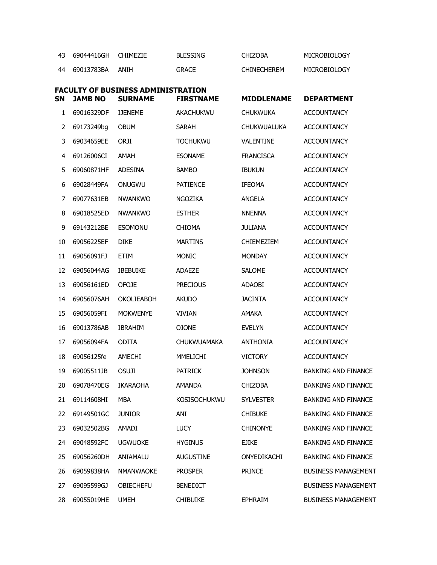|    | 69044416GH CHIMEZIE |      | <b>BLESSING</b> | <b>CHIZOBA</b>     | MICROBIOLOGY |
|----|---------------------|------|-----------------|--------------------|--------------|
| 44 | 69013783BA          | ANTH | <b>GRACE</b>    | <b>CHINECHEREM</b> | MICROBIOLOGY |

| -----           | - - - - - - - - - - - - - - |                     |
|-----------------|-----------------------------|---------------------|
| <b>BLESSING</b> | <b>CHIZOBA</b>              | <b>MICROBIOLOGY</b> |

| <b>SN</b> | <b>JAMB NO</b> | <b>FACULTY OF BUSINESS ADMINISTRATION</b><br><b>SURNAME</b> | <b>FIRSTNAME</b>   | <b>MIDDLENAME</b> | <b>DEPARTMENT</b>          |
|-----------|----------------|-------------------------------------------------------------|--------------------|-------------------|----------------------------|
| 1         | 69016329DF     | <b>IJENEME</b>                                              | AKACHUKWU          | <b>CHUKWUKA</b>   | <b>ACCOUNTANCY</b>         |
| 2         | 69173249bg     | <b>OBUM</b>                                                 | <b>SARAH</b>       | CHUKWUALUKA       | <b>ACCOUNTANCY</b>         |
| 3         | 69034659EE     | ORJI                                                        | <b>TOCHUKWU</b>    | <b>VALENTINE</b>  | <b>ACCOUNTANCY</b>         |
| 4         | 69126006CI     | AMAH                                                        | <b>ESONAME</b>     | <b>FRANCISCA</b>  | <b>ACCOUNTANCY</b>         |
| 5         | 69060871HF     | <b>ADESINA</b>                                              | <b>BAMBO</b>       | <b>IBUKUN</b>     | <b>ACCOUNTANCY</b>         |
| 6         | 69028449FA     | ONUGWU                                                      | <b>PATIENCE</b>    | <b>IFEOMA</b>     | <b>ACCOUNTANCY</b>         |
| 7         | 69077631EB     | <b>NWANKWO</b>                                              | <b>NGOZIKA</b>     | ANGELA            | <b>ACCOUNTANCY</b>         |
| 8         | 69018525ED     | <b>NWANKWO</b>                                              | <b>ESTHER</b>      | <b>NNENNA</b>     | <b>ACCOUNTANCY</b>         |
| 9         | 69143212BE     | <b>ESOMONU</b>                                              | <b>CHIOMA</b>      | <b>JULIANA</b>    | <b>ACCOUNTANCY</b>         |
| 10        | 69056225EF     | <b>DIKE</b>                                                 | <b>MARTINS</b>     | <b>CHIEMEZIEM</b> | <b>ACCOUNTANCY</b>         |
| 11        | 69056091FJ     | ETIM                                                        | <b>MONIC</b>       | <b>MONDAY</b>     | <b>ACCOUNTANCY</b>         |
| 12        | 69056044AG     | <b>IBEBUIKE</b>                                             | ADAEZE             | <b>SALOME</b>     | <b>ACCOUNTANCY</b>         |
| 13        | 69056161ED     | <b>OFOJE</b>                                                | <b>PRECIOUS</b>    | ADAOBI            | <b>ACCOUNTANCY</b>         |
| 14        | 69056076AH     | <b>OKOLIEABOH</b>                                           | <b>AKUDO</b>       | <b>JACINTA</b>    | <b>ACCOUNTANCY</b>         |
| 15        | 69056059FI     | <b>MOKWENYE</b>                                             | <b>VIVIAN</b>      | <b>AMAKA</b>      | <b>ACCOUNTANCY</b>         |
| 16        | 69013786AB     | <b>IBRAHIM</b>                                              | <b>OJONE</b>       | <b>EVELYN</b>     | <b>ACCOUNTANCY</b>         |
| 17        | 69056094FA     | <b>ODITA</b>                                                | <b>CHUKWUAMAKA</b> | <b>ANTHONIA</b>   | <b>ACCOUNTANCY</b>         |
| 18        | 69056125fe     | AMECHI                                                      | MMELICHI           | <b>VICTORY</b>    | <b>ACCOUNTANCY</b>         |
| 19        | 69005511JB     | <b>OSUJI</b>                                                | <b>PATRICK</b>     | <b>JOHNSON</b>    | <b>BANKING AND FINANCE</b> |
| 20        | 69078470EG     | <b>IKARAOHA</b>                                             | <b>AMANDA</b>      | <b>CHIZOBA</b>    | <b>BANKING AND FINANCE</b> |
| 21        | 69114608HI     | MBA                                                         | KOSISOCHUKWU       | <b>SYLVESTER</b>  | <b>BANKING AND FINANCE</b> |
| 22        | 69149501GC     | <b>JUNIOR</b>                                               | ANI                | <b>CHIBUKE</b>    | <b>BANKING AND FINANCE</b> |
| 23        | 69032502BG     | AMADI                                                       | <b>LUCY</b>        | <b>CHINONYE</b>   | <b>BANKING AND FINANCE</b> |
| 24        | 69048592FC     | <b>UGWUOKE</b>                                              | <b>HYGINUS</b>     | <b>EJIKE</b>      | <b>BANKING AND FINANCE</b> |
| 25        | 69056260DH     | ANIAMALU                                                    | <b>AUGUSTINE</b>   | ONYEDIKACHI       | <b>BANKING AND FINANCE</b> |
| 26        | 69059838HA     | <b>NMANWAOKE</b>                                            | <b>PROSPER</b>     | <b>PRINCE</b>     | <b>BUSINESS MANAGEMENT</b> |
| 27        | 69095599GJ     | <b>OBIECHEFU</b>                                            | <b>BENEDICT</b>    |                   | <b>BUSINESS MANAGEMENT</b> |
| 28        | 69055019HE     | <b>UMEH</b>                                                 | <b>CHIBUIKE</b>    | <b>EPHRAIM</b>    | <b>BUSINESS MANAGEMENT</b> |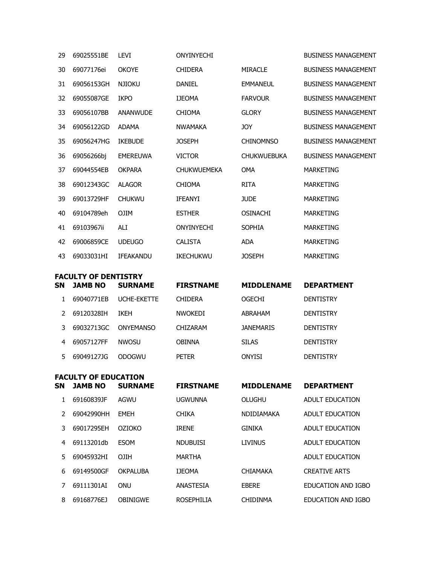| 29 | 69025551BE                  | <b>LEVI</b>      | ONYINYECHI         |                    | <b>BUSINESS MANAGEMENT</b> |
|----|-----------------------------|------------------|--------------------|--------------------|----------------------------|
| 30 | 69077176ei                  | <b>OKOYE</b>     | <b>CHIDERA</b>     | <b>MIRACLE</b>     | <b>BUSINESS MANAGEMENT</b> |
| 31 | 69056153GH                  | <b>NJIOKU</b>    | <b>DANIEL</b>      | <b>EMMANEUL</b>    | <b>BUSINESS MANAGEMENT</b> |
| 32 | 69055087GE                  | <b>IKPO</b>      | <b>IJEOMA</b>      | <b>FARVOUR</b>     | <b>BUSINESS MANAGEMENT</b> |
| 33 | 69056107BB                  | <b>ANANWUDE</b>  | <b>CHIOMA</b>      | <b>GLORY</b>       | <b>BUSINESS MANAGEMENT</b> |
| 34 | 69056122GD                  | <b>ADAMA</b>     | <b>NWAMAKA</b>     | <b>JOY</b>         | <b>BUSINESS MANAGEMENT</b> |
| 35 | 69056247HG                  | <b>IKEBUDE</b>   | <b>JOSEPH</b>      | <b>CHINOMNSO</b>   | <b>BUSINESS MANAGEMENT</b> |
| 36 | 69056266bj                  | <b>EMEREUWA</b>  | <b>VICTOR</b>      | <b>CHUKWUEBUKA</b> | <b>BUSINESS MANAGEMENT</b> |
| 37 | 69044554EB                  | <b>OKPARA</b>    | <b>CHUKWUEMEKA</b> | <b>OMA</b>         | <b>MARKETING</b>           |
| 38 | 69012343GC                  | <b>ALAGOR</b>    | <b>CHIOMA</b>      | <b>RITA</b>        | <b>MARKETING</b>           |
| 39 | 69013729HF                  | <b>CHUKWU</b>    | <b>IFEANYI</b>     | <b>JUDE</b>        | <b>MARKETING</b>           |
| 40 | 69104789eh                  | <b>OJIM</b>      | <b>ESTHER</b>      | <b>OSINACHI</b>    | <b>MARKETING</b>           |
| 41 | 69103967ii                  | ALI              | ONYINYECHI         | <b>SOPHIA</b>      | <b>MARKETING</b>           |
| 42 | 69006859CE                  | <b>UDEUGO</b>    | <b>CALISTA</b>     | <b>ADA</b>         | <b>MARKETING</b>           |
| 43 | 69033031HI                  | <b>IFEAKANDU</b> | <b>IKECHUKWU</b>   | <b>JOSEPH</b>      | <b>MARKETING</b>           |
|    | <b>FACULTY OF DENTISTRY</b> |                  |                    |                    |                            |
| SΝ | <b>JAMB NO</b>              | <b>SURNAME</b>   | <b>FIRSTNAME</b>   | <b>MIDDLENAME</b>  | <b>DEPARTMENT</b>          |
| 1  | 69040771EB                  | UCHE-EKETTE      | <b>CHIDERA</b>     | <b>OGECHI</b>      | <b>DENTISTRY</b>           |
| 2  | 69120328IH                  | <b>IKEH</b>      | <b>NWOKEDI</b>     | ABRAHAM            | <b>DENTISTRY</b>           |
| 3  | 69032713GC                  | <b>ONYEMANSO</b> | <b>CHIZARAM</b>    | <b>JANEMARIS</b>   | <b>DENTISTRY</b>           |
| 4  | 69057127FF                  | <b>NWOSU</b>     | <b>OBINNA</b>      | <b>SILAS</b>       | <b>DENTISTRY</b>           |

| <b>FACULTY OF EDUCATION</b> |                |                |                  |                   |                   |  |  |
|-----------------------------|----------------|----------------|------------------|-------------------|-------------------|--|--|
| <b>SN</b>                   | <b>JAMB NO</b> | <b>SURNAME</b> | <b>FIRSTNAME</b> | <b>MIDDLENAME</b> | <b>DEPARTMENT</b> |  |  |

5 69049127JG ODOGWU PETER ONYISI DENTISTRY

| 1 | 69160839JF | AGWU            | <b>UGWUNNA</b>    | OLUGHU            | ADULT EDUCATION      |
|---|------------|-----------------|-------------------|-------------------|----------------------|
| 2 | 69042990HH | <b>FMEH</b>     | <b>CHIKA</b>      | <b>NDIDIAMAKA</b> | ADULT EDUCATION      |
| 3 | 69017295FH | <b>OZIOKO</b>   | <b>IRENE</b>      | GINIKA            | ADULT EDUCATION      |
| 4 | 69113201db | <b>ESOM</b>     | <b>NDUBUIST</b>   | LIVINUS           | ADULT EDUCATION      |
| 5 | 69045932HI | <b>OJIH</b>     | <b>MARTHA</b>     |                   | ADULT EDUCATION      |
| 6 | 69149500GF | <b>OKPALUBA</b> | <b>TJEOMA</b>     | <b>CHIAMAKA</b>   | <b>CREATIVE ARTS</b> |
|   | 69111301AT | ONU             | ANASTESIA         | <b>FBFRF</b>      | EDUCATION AND IGBO   |
| 8 | 69168776EJ | OBINIGWE        | <b>ROSEPHILIA</b> | <b>CHIDINMA</b>   | EDUCATION AND IGBO   |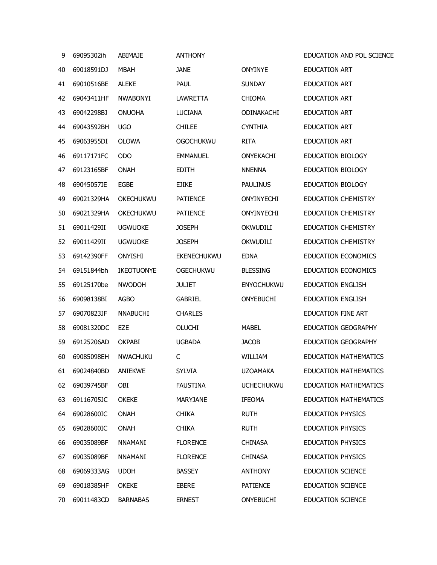| 9  | 69095302ih         | <b>ABIMAJE</b>   | <b>ANTHONY</b>     |                   | EDUCATION AND POL SCIENCE    |
|----|--------------------|------------------|--------------------|-------------------|------------------------------|
| 40 | 69018591DJ         | <b>MBAH</b>      | <b>JANE</b>        | ONYINYE           | <b>EDUCATION ART</b>         |
| 41 | 69010516BE         | <b>ALEKE</b>     | <b>PAUL</b>        | <b>SUNDAY</b>     | <b>EDUCATION ART</b>         |
| 42 | 69043411HF         | <b>NWABONYI</b>  | LAWRETTA           | <b>CHIOMA</b>     | <b>EDUCATION ART</b>         |
| 43 | 69042298BJ         | <b>ONUOHA</b>    | <b>LUCIANA</b>     | ODINAKACHI        | <b>EDUCATION ART</b>         |
| 44 | 69043592BH         | <b>UGO</b>       | <b>CHILEE</b>      | <b>CYNTHIA</b>    | <b>EDUCATION ART</b>         |
| 45 | 69063955DI         | <b>OLOWA</b>     | <b>OGOCHUKWU</b>   | <b>RITA</b>       | <b>EDUCATION ART</b>         |
| 46 | 69117171FC         | <b>ODO</b>       | <b>EMMANUEL</b>    | ONYEKACHI         | <b>EDUCATION BIOLOGY</b>     |
| 47 | 69123165BF         | <b>ONAH</b>      | <b>EDITH</b>       | <b>NNENNA</b>     | EDUCATION BIOLOGY            |
| 48 | 69045057IE         | <b>EGBE</b>      | <b>EJIKE</b>       | <b>PAULINUS</b>   | EDUCATION BIOLOGY            |
| 49 | 69021329HA         | <b>OKECHUKWU</b> | <b>PATIENCE</b>    | ONYINYECHI        | <b>EDUCATION CHEMISTRY</b>   |
| 50 | 69021329HA         | OKECHUKWU        | <b>PATIENCE</b>    | ONYINYECHI        | <b>EDUCATION CHEMISTRY</b>   |
| 51 | 69011429II         | <b>UGWUOKE</b>   | <b>JOSEPH</b>      | OKWUDILI          | <b>EDUCATION CHEMISTRY</b>   |
| 52 | 69011429II         | <b>UGWUOKE</b>   | <b>JOSEPH</b>      | OKWUDILI          | <b>EDUCATION CHEMISTRY</b>   |
| 53 | 69142390FF         | <b>ONYISHI</b>   | <b>EKENECHUKWU</b> | <b>EDNA</b>       | <b>EDUCATION ECONOMICS</b>   |
| 54 | 69151844bh         | IKEOTUONYE       | <b>OGECHUKWU</b>   | <b>BLESSING</b>   | <b>EDUCATION ECONOMICS</b>   |
| 55 | 69125170be         | <b>NWODOH</b>    | <b>JULIET</b>      | <b>ENYOCHUKWU</b> | <b>EDUCATION ENGLISH</b>     |
| 56 | 69098138BI         | <b>AGBO</b>      | <b>GABRIEL</b>     | <b>ONYEBUCHI</b>  | <b>EDUCATION ENGLISH</b>     |
| 57 | 69070823JF         | <b>NNABUCHI</b>  | <b>CHARLES</b>     |                   | <b>EDUCATION FINE ART</b>    |
| 58 | 69081320DC         | EZE              | <b>OLUCHI</b>      | <b>MABEL</b>      | EDUCATION GEOGRAPHY          |
| 59 | 69125206AD         | <b>OKPABI</b>    | <b>UGBADA</b>      | <b>JACOB</b>      | EDUCATION GEOGRAPHY          |
| 60 | 69085098EH         | <b>NWACHUKU</b>  | C                  | WILLIAM           | <b>EDUCATION MATHEMATICS</b> |
| 61 | 69024840BD ANIEKWE |                  | <b>SYLVIA</b>      | <b>UZOAMAKA</b>   | <b>EDUCATION MATHEMATICS</b> |
| 62 | 69039745BF         | OBI              | <b>FAUSTINA</b>    | <b>UCHECHUKWU</b> | <b>EDUCATION MATHEMATICS</b> |
| 63 | 69116705JC         | <b>OKEKE</b>     | <b>MARYJANE</b>    | <b>IFEOMA</b>     | <b>EDUCATION MATHEMATICS</b> |
| 64 | 69028600IC         | <b>ONAH</b>      | <b>CHIKA</b>       | <b>RUTH</b>       | <b>EDUCATION PHYSICS</b>     |
| 65 | 69028600IC         | <b>ONAH</b>      | <b>CHIKA</b>       | <b>RUTH</b>       | <b>EDUCATION PHYSICS</b>     |
| 66 | 69035089BF         | <b>NNAMANI</b>   | <b>FLORENCE</b>    | <b>CHINASA</b>    | <b>EDUCATION PHYSICS</b>     |
| 67 | 69035089BF         | <b>NNAMANI</b>   | <b>FLORENCE</b>    | <b>CHINASA</b>    | <b>EDUCATION PHYSICS</b>     |
| 68 | 69069333AG         | <b>UDOH</b>      | <b>BASSEY</b>      | <b>ANTHONY</b>    | <b>EDUCATION SCIENCE</b>     |
| 69 | 69018385HF         | <b>OKEKE</b>     | <b>EBERE</b>       | <b>PATIENCE</b>   | <b>EDUCATION SCIENCE</b>     |
| 70 | 69011483CD         | <b>BARNABAS</b>  | <b>ERNEST</b>      | <b>ONYEBUCHI</b>  | <b>EDUCATION SCIENCE</b>     |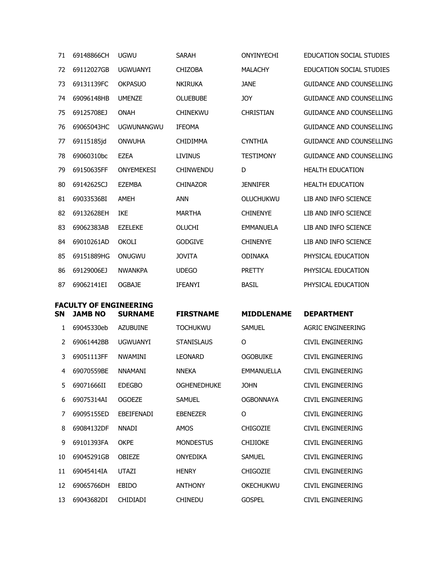| 71 | 69148866CH                    | <b>UGWU</b>       | <b>SARAH</b>       | ONYINYECHI        | <b>EDUCATION SOCIAL STUDIES</b> |
|----|-------------------------------|-------------------|--------------------|-------------------|---------------------------------|
| 72 | 69112027GB                    | <b>UGWUANYI</b>   | <b>CHIZOBA</b>     | <b>MALACHY</b>    | <b>EDUCATION SOCIAL STUDIES</b> |
| 73 | 69131139FC                    | <b>OKPASUO</b>    | <b>NKIRUKA</b>     | <b>JANE</b>       | <b>GUIDANCE AND COUNSELLING</b> |
| 74 | 69096148HB                    | <b>UMENZE</b>     | <b>OLUEBUBE</b>    | <b>JOY</b>        | <b>GUIDANCE AND COUNSELLING</b> |
| 75 | 69125708EJ                    | <b>ONAH</b>       | <b>CHINEKWU</b>    | <b>CHRISTIAN</b>  | <b>GUIDANCE AND COUNSELLING</b> |
| 76 | 69065043HC                    | <b>UGWUNANGWU</b> | <b>IFEOMA</b>      |                   | <b>GUIDANCE AND COUNSELLING</b> |
| 77 | 69115185jd                    | <b>ONWUHA</b>     | <b>CHIDIMMA</b>    | <b>CYNTHIA</b>    | <b>GUIDANCE AND COUNSELLING</b> |
| 78 | 69060310bc                    | <b>EZEA</b>       | <b>LIVINUS</b>     | <b>TESTIMONY</b>  | <b>GUIDANCE AND COUNSELLING</b> |
| 79 | 69150635FF                    | <b>ONYEMEKESI</b> | <b>CHINWENDU</b>   | D                 | <b>HEALTH EDUCATION</b>         |
| 80 | 69142625CJ                    | <b>EZEMBA</b>     | <b>CHINAZOR</b>    | <b>JENNIFER</b>   | <b>HEALTH EDUCATION</b>         |
| 81 | 69033536BI                    | <b>AMEH</b>       | <b>ANN</b>         | <b>OLUCHUKWU</b>  | LIB AND INFO SCIENCE            |
| 82 | 69132628EH                    | <b>IKE</b>        | <b>MARTHA</b>      | <b>CHINENYE</b>   | LIB AND INFO SCIENCE            |
| 83 | 69062383AB                    | <b>EZELEKE</b>    | <b>OLUCHI</b>      | <b>EMMANUELA</b>  | LIB AND INFO SCIENCE            |
| 84 | 69010261AD                    | <b>OKOLI</b>      | <b>GODGIVE</b>     | <b>CHINENYE</b>   | LIB AND INFO SCIENCE            |
| 85 | 69151889HG                    | ONUGWU            | <b>JOVITA</b>      | <b>ODINAKA</b>    | PHYSICAL EDUCATION              |
| 86 | 69129006EJ                    | <b>NWANKPA</b>    | <b>UDEGO</b>       | <b>PRETTY</b>     | PHYSICAL EDUCATION              |
| 87 | 69062141EI                    | <b>OGBAJE</b>     | <b>IFEANYI</b>     | <b>BASIL</b>      | PHYSICAL EDUCATION              |
|    | <b>FACULTY OF ENGINEERING</b> |                   |                    |                   |                                 |
| SN | <b>JAMB NO</b>                | <b>SURNAME</b>    | <b>FIRSTNAME</b>   | <b>MIDDLENAME</b> | <b>DEPARTMENT</b>               |
| 1  | 69045330eb                    | <b>AZUBUINE</b>   | <b>TOCHUKWU</b>    | <b>SAMUEL</b>     | <b>AGRIC ENGINEERING</b>        |
| 2  | 69061442BB                    | <b>UGWUANYI</b>   | <b>STANISLAUS</b>  | O                 | CIVIL ENGINEERING               |
| 3  | 69051113FF                    | <b>NWAMINI</b>    | <b>LEONARD</b>     | <b>OGOBUIKE</b>   | CIVIL ENGINEERING               |
| 4  | 69070559BE                    | NNAMANI           | <b>NNEKA</b>       | <b>EMMANUELLA</b> | CIVIL ENGINEERING               |
| 5  | 69071666II                    | <b>EDEGBO</b>     | <b>OGHENEDHUKE</b> | <b>JOHN</b>       | CIVIL ENGINEERING               |
| 6  | 69075314AI                    | <b>OGOEZE</b>     | <b>SAMUEL</b>      | <b>OGBONNAYA</b>  | CIVIL ENGINEERING               |
| 7  | 69095155ED                    | EBEIFENADI        | <b>EBENEZER</b>    | O                 | <b>CIVIL ENGINEERING</b>        |
| 8  | 69084132DF                    | <b>NNADI</b>      | <b>AMOS</b>        | CHIGOZIE          | CIVIL ENGINEERING               |
| 9  | 69101393FA                    | <b>OKPE</b>       | <b>MONDESTUS</b>   | <b>CHIJIOKE</b>   | CIVIL ENGINEERING               |
| 10 | 69045291GB                    | OBIEZE            | <b>ONYEDIKA</b>    | <b>SAMUEL</b>     | CIVIL ENGINEERING               |
| 11 | 69045414IA                    | <b>UTAZI</b>      | <b>HENRY</b>       | <b>CHIGOZIE</b>   | CIVIL ENGINEERING               |
| 12 | 69065766DH                    | <b>EBIDO</b>      | <b>ANTHONY</b>     | OKECHUKWU         | CIVIL ENGINEERING               |
| 13 | 69043682DI                    | <b>CHIDIADI</b>   | <b>CHINEDU</b>     | <b>GOSPEL</b>     | CIVIL ENGINEERING               |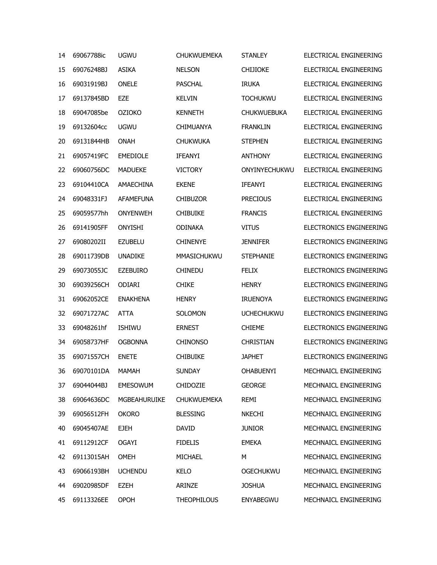| 14 | 69067788ic | <b>UGWU</b>         | <b>CHUKWUEMEKA</b> | <b>STANLEY</b>     | ELECTRICAL ENGINEERING         |
|----|------------|---------------------|--------------------|--------------------|--------------------------------|
| 15 | 69076248BJ | <b>ASIKA</b>        | <b>NELSON</b>      | <b>CHIJIOKE</b>    | ELECTRICAL ENGINEERING         |
| 16 | 69031919BJ | <b>ONELE</b>        | <b>PASCHAL</b>     | <b>IRUKA</b>       | ELECTRICAL ENGINEERING         |
| 17 | 69137845BD | EZE                 | <b>KELVIN</b>      | <b>TOCHUKWU</b>    | ELECTRICAL ENGINEERING         |
| 18 | 69047085be | <b>OZIOKO</b>       | <b>KENNETH</b>     | <b>CHUKWUEBUKA</b> | ELECTRICAL ENGINEERING         |
| 19 | 69132604cc | <b>UGWU</b>         | <b>CHIMUANYA</b>   | <b>FRANKLIN</b>    | FLECTRICAL ENGINEERING         |
| 20 | 69131844HB | <b>ONAH</b>         | <b>CHUKWUKA</b>    | <b>STEPHEN</b>     | ELECTRICAL ENGINEERING         |
| 21 | 69057419FC | <b>EMEDIOLE</b>     | <b>IFEANYI</b>     | <b>ANTHONY</b>     | ELECTRICAL ENGINEERING         |
| 22 | 69060756DC | <b>MADUEKE</b>      | <b>VICTORY</b>     | ONYINYECHUKWU      | ELECTRICAL ENGINEERING         |
| 23 | 69104410CA | AMAECHINA           | <b>EKENE</b>       | <b>IFEANYI</b>     | ELECTRICAL ENGINEERING         |
| 24 | 69048331FJ | <b>AFAMEFUNA</b>    | <b>CHIBUZOR</b>    | <b>PRECIOUS</b>    | ELECTRICAL ENGINEERING         |
| 25 | 69059577hh | <b>ONYENWEH</b>     | <b>CHIBUIKE</b>    | <b>FRANCIS</b>     | ELECTRICAL ENGINEERING         |
| 26 | 69141905FF | <b>ONYISHI</b>      | <b>ODINAKA</b>     | <b>VITUS</b>       | ELECTRONICS ENGINEERING        |
| 27 | 69080202II | <b>EZUBELU</b>      | <b>CHINENYE</b>    | <b>JENNIFER</b>    | <b>ELECTRONICS ENGINEERING</b> |
| 28 | 69011739DB | <b>UNADIKE</b>      | <b>MMASICHUKWU</b> | <b>STEPHANIE</b>   | <b>ELECTRONICS ENGINEERING</b> |
| 29 | 69073055JC | <b>EZEBUIRO</b>     | <b>CHINEDU</b>     | <b>FELIX</b>       | ELECTRONICS ENGINEERING        |
| 30 | 69039256CH | <b>ODIARI</b>       | <b>CHIKE</b>       | <b>HENRY</b>       | <b>ELECTRONICS ENGINEERING</b> |
| 31 | 69062052CE | <b>ENAKHENA</b>     | <b>HENRY</b>       | <b>IRUENOYA</b>    | <b>ELECTRONICS ENGINEERING</b> |
| 32 | 69071727AC | <b>ATTA</b>         | <b>SOLOMON</b>     | <b>UCHECHUKWU</b>  | <b>ELECTRONICS ENGINEERING</b> |
| 33 | 69048261hf | <b>ISHIWU</b>       | <b>ERNEST</b>      | <b>CHIEME</b>      | <b>ELECTRONICS ENGINEERING</b> |
| 34 | 69058737HF | <b>OGBONNA</b>      | <b>CHINONSO</b>    | <b>CHRISTIAN</b>   | <b>ELECTRONICS ENGINEERING</b> |
| 35 | 69071557CH | <b>ENETE</b>        | <b>CHIBUIKE</b>    | <b>JAPHET</b>      | <b>ELECTRONICS ENGINEERING</b> |
| 36 | 69070101DA | MAMAH               | <b>SUNDAY</b>      | <b>OHABUENYI</b>   | MECHNAICL ENGINEERING          |
| 37 | 69044044BJ | <b>EMESOWUM</b>     | CHIDOZIE           | <b>GEORGE</b>      | MECHNAICL ENGINEERING          |
| 38 | 69064636DC | <b>MGBEAHURUIKE</b> | <b>CHUKWUEMEKA</b> | <b>REMI</b>        | MECHNAICL ENGINEERING          |
| 39 | 69056512FH | <b>OKORO</b>        | <b>BLESSING</b>    | <b>NKECHI</b>      | MECHNAICL ENGINEERING          |
| 40 | 69045407AE | <b>EJEH</b>         | <b>DAVID</b>       | <b>JUNIOR</b>      | MECHNAICL ENGINEERING          |
| 41 | 69112912CF | <b>OGAYI</b>        | <b>FIDELIS</b>     | <b>EMEKA</b>       | MECHNAICL ENGINEERING          |
| 42 | 69113015AH | <b>OMEH</b>         | MICHAEL            | M                  | MECHNAICL ENGINEERING          |
| 43 | 69066193BH | <b>UCHENDU</b>      | <b>KELO</b>        | <b>OGECHUKWU</b>   | MECHNAICL ENGINEERING          |
| 44 | 69020985DF | <b>EZEH</b>         | ARINZE             | <b>JOSHUA</b>      | MECHNAICL ENGINEERING          |
| 45 | 69113326EE | <b>OPOH</b>         | <b>THEOPHILOUS</b> | <b>ENYABEGWU</b>   | MECHNAICL ENGINEERING          |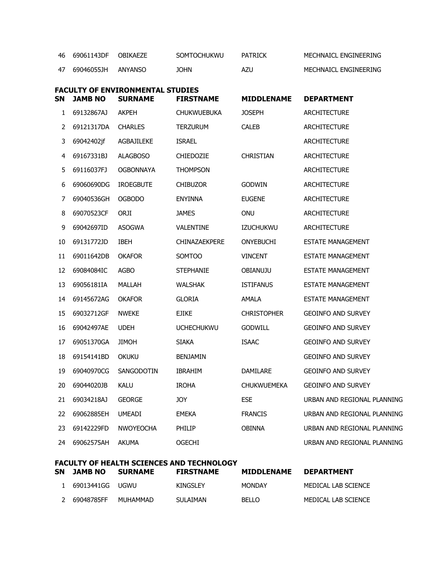| 46 69061143DF | OBIKAF7F | <b>SOMTOCHUKWU</b> | PATRICK | MECHNAICL ENGINEERING |
|---------------|----------|--------------------|---------|-----------------------|
| 47 69046055JH | ANYANSO  | JOHN               | AZU     | MECHNAICL ENGINEERING |

| <b>SN</b> | <b>JAMB NO</b> | <b>FACULTY OF ENVIRONMENTAL STUDIES</b><br><b>SURNAME</b> | <b>FIRSTNAME</b>     | <b>MIDDLENAME</b>  | <b>DEPARTMENT</b>           |
|-----------|----------------|-----------------------------------------------------------|----------------------|--------------------|-----------------------------|
| 1         | 69132867AJ     | AKPEH                                                     | <b>CHUKWUEBUKA</b>   | <b>JOSEPH</b>      | <b>ARCHITECTURE</b>         |
|           |                |                                                           |                      |                    |                             |
| 2         | 69121317DA     | <b>CHARLES</b>                                            | <b>TERZURUM</b>      | <b>CALEB</b>       | <b>ARCHITECTURE</b>         |
| 3         | 69042402jf     | <b>AGBAJILEKE</b>                                         | <b>ISRAEL</b>        |                    | <b>ARCHITECTURE</b>         |
| 4         | 69167331BJ     | <b>ALAGBOSO</b>                                           | <b>CHIEDOZIE</b>     | <b>CHRISTIAN</b>   | <b>ARCHITECTURE</b>         |
| 5         | 69116037FJ     | OGBONNAYA                                                 | <b>THOMPSON</b>      |                    | ARCHITECTURE                |
| 6         | 69060690DG     | <b>IROEGBUTE</b>                                          | <b>CHIBUZOR</b>      | <b>GODWIN</b>      | <b>ARCHITECTURE</b>         |
| 7         | 69040536GH     | <b>OGBODO</b>                                             | ENYINNA              | <b>EUGENE</b>      | ARCHITECTURE                |
| 8         | 69070523CF     | ORJI                                                      | <b>JAMES</b>         | <b>ONU</b>         | <b>ARCHITECTURE</b>         |
| 9         | 69042697ID     | <b>ASOGWA</b>                                             | <b>VALENTINE</b>     | <b>IZUCHUKWU</b>   | <b>ARCHITECTURE</b>         |
| 10        | 69131772JD     | <b>IBEH</b>                                               | <b>CHINAZAEKPERE</b> | <b>ONYEBUCHI</b>   | <b>ESTATE MANAGEMENT</b>    |
| 11        | 69011642DB     | <b>OKAFOR</b>                                             | SOMTOO               | <b>VINCENT</b>     | <b>ESTATE MANAGEMENT</b>    |
| 12        | 69084084IC     | AGBO                                                      | <b>STEPHANIE</b>     | <b>OBIANUJU</b>    | <b>ESTATE MANAGEMENT</b>    |
| 13        | 69056181IA     | MALLAH                                                    | <b>WALSHAK</b>       | <b>ISTIFANUS</b>   | <b>ESTATE MANAGEMENT</b>    |
| 14        | 69145672AG     | <b>OKAFOR</b>                                             | <b>GLORIA</b>        | AMALA              | <b>ESTATE MANAGEMENT</b>    |
| 15        | 69032712GF     | <b>NWEKE</b>                                              | <b>EJIKE</b>         | <b>CHRISTOPHER</b> | <b>GEOINFO AND SURVEY</b>   |
| 16        | 69042497AE     | <b>UDEH</b>                                               | <b>UCHECHUKWU</b>    | <b>GODWILL</b>     | <b>GEOINFO AND SURVEY</b>   |
| 17        | 69051370GA     | <b>JIMOH</b>                                              | SIAKA                | <b>ISAAC</b>       | <b>GEOINFO AND SURVEY</b>   |
| 18        | 69154141BD     | <b>OKUKU</b>                                              | <b>BENJAMIN</b>      |                    | <b>GEOINFO AND SURVEY</b>   |
| 19        | 69040970CG     | SANGODOTIN                                                | <b>IBRAHIM</b>       | DAMILARE           | <b>GEOINFO AND SURVEY</b>   |
| 20        | 69044020JB     | KALU                                                      | <b>IROHA</b>         | <b>CHUKWUEMEKA</b> | <b>GEOINFO AND SURVEY</b>   |
| 21        | 69034218AJ     | <b>GEORGE</b>                                             | JOY                  | <b>ESE</b>         | URBAN AND REGIONAL PLANNING |
| 22        | 69062885EH     | <b>UMEADI</b>                                             | EMEKA                | <b>FRANCIS</b>     | URBAN AND REGIONAL PLANNING |
| 23        | 69142229FD     | <b>NWOYEOCHA</b>                                          | <b>PHILIP</b>        | OBINNA             | URBAN AND REGIONAL PLANNING |
| 24        | 69062575AH     | <b>AKUMA</b>                                              | OGECHI               |                    | URBAN AND REGIONAL PLANNING |

| <b>FACULTY OF HEALTH SCIENCES AND TECHNOLOGY</b> |          |                  |                   |                     |  |  |  |  |  |
|--------------------------------------------------|----------|------------------|-------------------|---------------------|--|--|--|--|--|
| SN JAMB NO                                       | SURNAME  | <b>FIRSTNAME</b> | <b>MIDDLENAME</b> | <b>DEPARTMENT</b>   |  |  |  |  |  |
| 69013441GG                                       | UGWU I   | KINGSLEY         | MONDAY            | MEDICAL LAB SCIENCE |  |  |  |  |  |
| 69048785FF                                       | MUHAMMAD | <b>SULAIMAN</b>  | <b>BELLO</b>      | MEDICAL LAB SCIENCE |  |  |  |  |  |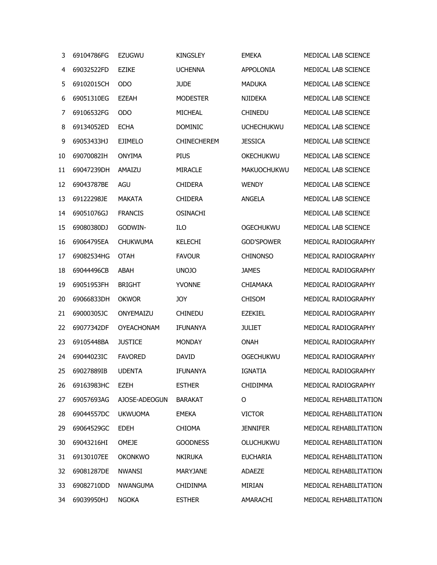| 3      | 69104786FG | <b>EZUGWU</b>     | <b>KINGSLEY</b>    | <b>EMEKA</b>       | MEDICAL LAB SCIENCE    |
|--------|------------|-------------------|--------------------|--------------------|------------------------|
| 4      | 69032522FD | <b>EZIKE</b>      | <b>UCHENNA</b>     | <b>APPOLONIA</b>   | MEDICAL LAB SCIENCE    |
| 5      | 69102015CH | <b>ODO</b>        | <b>JUDE</b>        | <b>MADUKA</b>      | MEDICAL LAB SCIENCE    |
| 6      | 69051310EG | <b>EZEAH</b>      | <b>MODESTER</b>    | <b>NJIDEKA</b>     | MEDICAL LAB SCIENCE    |
| 7      | 69106532FG | <b>ODO</b>        | <b>MICHEAL</b>     | <b>CHINEDU</b>     | MEDICAL LAB SCIENCE    |
| 8      | 69134052ED | <b>ECHA</b>       | <b>DOMINIC</b>     | <b>UCHECHUKWU</b>  | MEDICAL LAB SCIENCE    |
| 9      | 69053433HJ | <b>EJIMELO</b>    | <b>CHINECHEREM</b> | <b>JESSICA</b>     | MEDICAL LAB SCIENCE    |
| 10     | 69070082IH | <b>ONYIMA</b>     | <b>PIUS</b>        | OKECHUKWU          | MEDICAL LAB SCIENCE    |
| 11     | 69047239DH | AMAIZU            | <b>MIRACLE</b>     | <b>MAKUOCHUKWU</b> | MEDICAL LAB SCIENCE    |
| 12     | 69043787BE | AGU               | <b>CHIDERA</b>     | <b>WENDY</b>       | MEDICAL LAB SCIENCE    |
| 13     | 69122298JE | <b>MAKATA</b>     | <b>CHIDERA</b>     | <b>ANGELA</b>      | MEDICAL LAB SCIENCE    |
| 14     | 69051076GJ | <b>FRANCIS</b>    | <b>OSINACHI</b>    |                    | MEDICAL LAB SCIENCE    |
| 15     | 69080380DJ | GODWIN-           | ILO                | <b>OGECHUKWU</b>   | MEDICAL LAB SCIENCE    |
| 16     | 69064795EA | <b>CHUKWUMA</b>   | <b>KELECHI</b>     | <b>GOD'SPOWER</b>  | MEDICAL RADIOGRAPHY    |
| 17     | 69082534HG | <b>OTAH</b>       | <b>FAVOUR</b>      | <b>CHINONSO</b>    | MEDICAL RADIOGRAPHY    |
| 18     | 69044496CB | <b>ABAH</b>       | <b>UNOJO</b>       | <b>JAMES</b>       | MEDICAL RADIOGRAPHY    |
| 19     | 69051953FH | <b>BRIGHT</b>     | <b>YVONNE</b>      | <b>CHIAMAKA</b>    | MEDICAL RADIOGRAPHY    |
| 20     | 69066833DH | <b>OKWOR</b>      | <b>JOY</b>         | <b>CHISOM</b>      | MEDICAL RADIOGRAPHY    |
| 21     | 69000305JC | ONYEMAIZU         | <b>CHINEDU</b>     | <b>EZEKIEL</b>     | MEDICAL RADIOGRAPHY    |
| 22     | 69077342DF | <b>OYEACHONAM</b> | <b>IFUNANYA</b>    | <b>JULIET</b>      | MEDICAL RADIOGRAPHY    |
| 23     | 69105448BA | <b>JUSTICE</b>    | <b>MONDAY</b>      | <b>ONAH</b>        | MEDICAL RADIOGRAPHY    |
| 24     | 69044023IC | <b>FAVORED</b>    | <b>DAVID</b>       | <b>OGECHUKWU</b>   | MEDICAL RADIOGRAPHY    |
| $25 -$ | 69027889IB | <b>UDENTA</b>     | IFUNANYA           | <b>IGNATIA</b>     | MEDICAL RADIOGRAPHY    |
| 26     | 69163983HC | <b>EZEH</b>       | <b>ESTHER</b>      | <b>CHIDIMMA</b>    | MEDICAL RADIOGRAPHY    |
| 27     | 69057693AG | AJOSE-ADEOGUN     | <b>BARAKAT</b>     | O                  | MEDICAL REHABILITATION |
| 28     | 69044557DC | <b>UKWUOMA</b>    | <b>EMEKA</b>       | <b>VICTOR</b>      | MEDICAL REHABILITATION |
| 29     | 69064529GC | <b>EDEH</b>       | <b>CHIOMA</b>      | <b>JENNIFER</b>    | MEDICAL REHABILITATION |
| 30     | 69043216HI | <b>OMEJE</b>      | <b>GOODNESS</b>    | <b>OLUCHUKWU</b>   | MEDICAL REHABILITATION |
| 31     | 69130107EE | <b>OKONKWO</b>    | <b>NKIRUKA</b>     | <b>EUCHARIA</b>    | MEDICAL REHABILITATION |
| 32     | 69081287DE | <b>NWANSI</b>     | MARYJANE           | <b>ADAEZE</b>      | MEDICAL REHABILITATION |
| 33     | 69082710DD | <b>NWANGUMA</b>   | <b>CHIDINMA</b>    | MIRIAN             | MEDICAL REHABILITATION |
| 34     | 69039950HJ | <b>NGOKA</b>      | <b>ESTHER</b>      | AMARACHI           | MEDICAL REHABILITATION |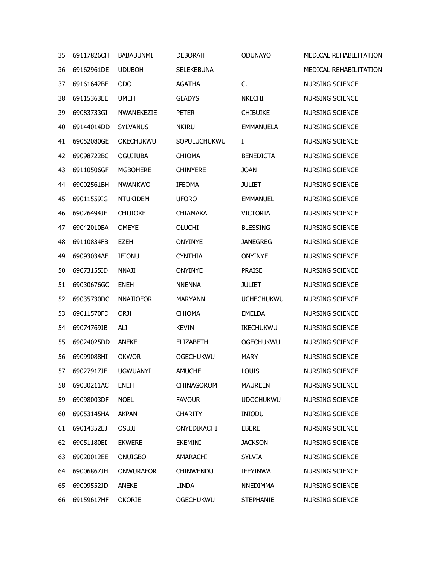| 35 | 69117826CH          | <b>BABABUNMI</b> | <b>DEBORAH</b>    | <b>ODUNAYO</b>    | MEDICAL REHABILITATION |
|----|---------------------|------------------|-------------------|-------------------|------------------------|
| 36 | 69162961DE          | <b>UDUBOH</b>    | <b>SELEKEBUNA</b> |                   | MEDICAL REHABILITATION |
| 37 | 69161642BE          | <b>ODO</b>       | <b>AGATHA</b>     | C.                | NURSING SCIENCE        |
| 38 | 69115363EE          | <b>UMEH</b>      | <b>GLADYS</b>     | <b>NKECHI</b>     | <b>NURSING SCIENCE</b> |
| 39 | 69083733GI          | NWANEKEZIE       | <b>PETER</b>      | <b>CHIBUIKE</b>   | <b>NURSING SCIENCE</b> |
| 40 | 69144014DD          | <b>SYLVANUS</b>  | <b>NKIRU</b>      | <b>EMMANUELA</b>  | <b>NURSING SCIENCE</b> |
| 41 | 69052080GE          | <b>OKECHUKWU</b> | SOPULUCHUKWU      | I                 | <b>NURSING SCIENCE</b> |
| 42 | 69098722BC          | <b>OGUJIUBA</b>  | <b>CHIOMA</b>     | <b>BENEDICTA</b>  | <b>NURSING SCIENCE</b> |
| 43 | 69110506GF          | <b>MGBOHERE</b>  | <b>CHINYERE</b>   | <b>JOAN</b>       | NURSING SCIENCE        |
| 44 | 69002561BH          | <b>NWANKWO</b>   | <b>IFEOMA</b>     | <b>JULIET</b>     | <b>NURSING SCIENCE</b> |
| 45 | 69011559IG          | <b>NTUKIDEM</b>  | <b>UFORO</b>      | <b>EMMANUEL</b>   | <b>NURSING SCIENCE</b> |
| 46 | 69026494JF          | <b>CHIJIOKE</b>  | <b>CHIAMAKA</b>   | <b>VICTORIA</b>   | NURSING SCIENCE        |
| 47 | 69042010BA          | <b>OMEYE</b>     | <b>OLUCHI</b>     | <b>BLESSING</b>   | <b>NURSING SCIENCE</b> |
| 48 | 69110834FB          | <b>EZEH</b>      | <b>ONYINYE</b>    | <b>JANEGREG</b>   | NURSING SCIENCE        |
| 49 | 69093034AE          | <b>IFIONU</b>    | <b>CYNTHIA</b>    | <b>ONYINYE</b>    | NURSING SCIENCE        |
| 50 | 69073155ID          | <b>NNAJI</b>     | <b>ONYINYE</b>    | <b>PRAISE</b>     | <b>NURSING SCIENCE</b> |
| 51 | 69030676GC          | <b>ENEH</b>      | <b>NNENNA</b>     | <b>JULIET</b>     | NURSING SCIENCE        |
| 52 | 69035730DC          | <b>NNAJIOFOR</b> | <b>MARYANN</b>    | <b>UCHECHUKWU</b> | <b>NURSING SCIENCE</b> |
| 53 | 69011570FD          | ORJI             | <b>CHIOMA</b>     | <b>EMELDA</b>     | <b>NURSING SCIENCE</b> |
| 54 | 69074769JB          | ALI              | <b>KEVIN</b>      | <b>IKECHUKWU</b>  | <b>NURSING SCIENCE</b> |
| 55 | 69024025DD          | <b>ANEKE</b>     | <b>ELIZABETH</b>  | <b>OGECHUKWU</b>  | <b>NURSING SCIENCE</b> |
| 56 | 69099088HI          | <b>OKWOR</b>     | <b>OGECHUKWU</b>  | <b>MARY</b>       | <b>NURSING SCIENCE</b> |
| 57 | 69027917JE UGWUANYI |                  | <b>AMUCHE</b>     | LOUIS             | NURSING SCIENCE        |
| 58 | 69030211AC          | <b>ENEH</b>      | CHINAGOROM        | <b>MAUREEN</b>    | NURSING SCIENCE        |
| 59 | 69098003DF          | <b>NOEL</b>      | <b>FAVOUR</b>     | <b>UDOCHUKWU</b>  | <b>NURSING SCIENCE</b> |
| 60 | 69053145HA          | <b>AKPAN</b>     | <b>CHARITY</b>    | <b>INIODU</b>     | NURSING SCIENCE        |
| 61 | 69014352EJ          | <b>OSUJI</b>     | ONYEDIKACHI       | <b>EBERE</b>      | NURSING SCIENCE        |
| 62 | 69051180EI          | <b>EKWERE</b>    | <b>EKEMINI</b>    | <b>JACKSON</b>    | NURSING SCIENCE        |
| 63 | 69020012EE          | ONUIGBO          | AMARACHI          | <b>SYLVIA</b>     | <b>NURSING SCIENCE</b> |
| 64 | 69006867JH          | <b>ONWURAFOR</b> | <b>CHINWENDU</b>  | <b>IFEYINWA</b>   | NURSING SCIENCE        |
| 65 | 69009552JD          | <b>ANEKE</b>     | <b>LINDA</b>      | NNEDIMMA          | <b>NURSING SCIENCE</b> |
| 66 | 69159617HF          | <b>OKORIE</b>    | <b>OGECHUKWU</b>  | <b>STEPHANIE</b>  | NURSING SCIENCE        |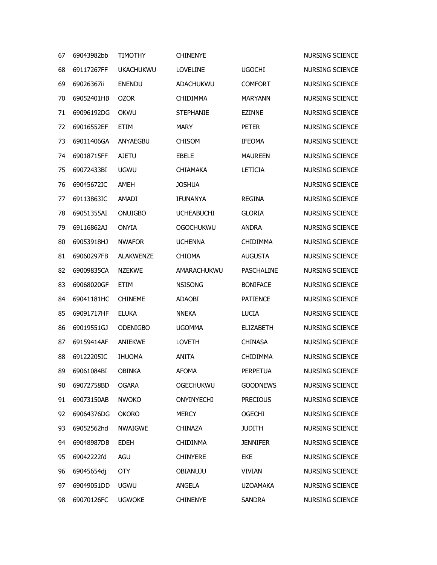| 67 | 69043982bb | <b>TIMOTHY</b>   | <b>CHINENYE</b>   |                   | <b>NURSING SCIENCE</b> |
|----|------------|------------------|-------------------|-------------------|------------------------|
| 68 | 69117267FF | <b>UKACHUKWU</b> | <b>LOVELINE</b>   | <b>UGOCHI</b>     | <b>NURSING SCIENCE</b> |
| 69 | 69026367ii | <b>ENENDU</b>    | ADACHUKWU         | <b>COMFORT</b>    | NURSING SCIENCE        |
| 70 | 69052401HB | <b>OZOR</b>      | <b>CHIDIMMA</b>   | <b>MARYANN</b>    | <b>NURSING SCIENCE</b> |
| 71 | 69096192DG | <b>OKWU</b>      | <b>STEPHANIE</b>  | <b>EZINNE</b>     | NURSING SCIENCE        |
| 72 | 69016552EF | <b>ETIM</b>      | <b>MARY</b>       | <b>PETER</b>      | <b>NURSING SCIENCE</b> |
| 73 | 69011406GA | ANYAEGBU         | <b>CHISOM</b>     | <b>IFEOMA</b>     | <b>NURSING SCIENCE</b> |
| 74 | 69018715FF | <b>AJETU</b>     | <b>EBELE</b>      | <b>MAUREEN</b>    | <b>NURSING SCIENCE</b> |
| 75 | 69072433BI | <b>UGWU</b>      | <b>CHIAMAKA</b>   | <b>LETICIA</b>    | NURSING SCIENCE        |
| 76 | 69045672IC | AMEH             | <b>JOSHUA</b>     |                   | <b>NURSING SCIENCE</b> |
| 77 | 69113863IC | AMADI            | <b>IFUNANYA</b>   | <b>REGINA</b>     | <b>NURSING SCIENCE</b> |
| 78 | 69051355AI | <b>ONUIGBO</b>   | <b>UCHEABUCHI</b> | <b>GLORIA</b>     | <b>NURSING SCIENCE</b> |
| 79 | 69116862AJ | <b>ONYIA</b>     | <b>OGOCHUKWU</b>  | <b>ANDRA</b>      | <b>NURSING SCIENCE</b> |
| 80 | 69053918HJ | <b>NWAFOR</b>    | <b>UCHENNA</b>    | <b>CHIDIMMA</b>   | NURSING SCIENCE        |
| 81 | 69060297FB | <b>ALAKWENZE</b> | <b>CHIOMA</b>     | <b>AUGUSTA</b>    | <b>NURSING SCIENCE</b> |
| 82 | 69009835CA | <b>NZEKWE</b>    | AMARACHUKWU       | <b>PASCHALINE</b> | <b>NURSING SCIENCE</b> |
| 83 | 69068020GF | <b>ETIM</b>      | <b>NSISONG</b>    | <b>BONIFACE</b>   | NURSING SCIENCE        |
| 84 | 69041181HC | <b>CHINEME</b>   | <b>ADAOBI</b>     | <b>PATIENCE</b>   | <b>NURSING SCIENCE</b> |
| 85 | 69091717HF | <b>ELUKA</b>     | <b>NNEKA</b>      | <b>LUCIA</b>      | <b>NURSING SCIENCE</b> |
| 86 | 69019551GJ | <b>ODENIGBO</b>  | <b>UGOMMA</b>     | <b>ELIZABETH</b>  | NURSING SCIENCE        |
| 87 | 69159414AF | <b>ANIEKWE</b>   | <b>LOVETH</b>     | <b>CHINASA</b>    | <b>NURSING SCIENCE</b> |
| 88 | 69122205IC | <b>IHUOMA</b>    | <b>ANITA</b>      | <b>CHIDIMMA</b>   | <b>NURSING SCIENCE</b> |
| 89 | 69061084BI | <b>OBINKA</b>    | <b>AFOMA</b>      | <b>PERPETUA</b>   | NURSING SCIENCE        |
| 90 | 69072758BD | <b>OGARA</b>     | <b>OGECHUKWU</b>  | <b>GOODNEWS</b>   | NURSING SCIENCE        |
| 91 | 69073150AB | <b>NWOKO</b>     | ONYINYECHI        | <b>PRECIOUS</b>   | NURSING SCIENCE        |
| 92 | 69064376DG | <b>OKORO</b>     | <b>MERCY</b>      | <b>OGECHI</b>     | <b>NURSING SCIENCE</b> |
| 93 | 69052562hd | <b>NWAIGWE</b>   | <b>CHINAZA</b>    | <b>JUDITH</b>     | <b>NURSING SCIENCE</b> |
| 94 | 69048987DB | <b>EDEH</b>      | <b>CHIDINMA</b>   | <b>JENNIFER</b>   | <b>NURSING SCIENCE</b> |
| 95 | 69042222fd | AGU              | <b>CHINYERE</b>   | <b>EKE</b>        | NURSING SCIENCE        |
| 96 | 69045654dj | <b>OTY</b>       | OBIANUJU          | VIVIAN            | NURSING SCIENCE        |
| 97 | 69049051DD | <b>UGWU</b>      | ANGELA            | <b>UZOAMAKA</b>   | NURSING SCIENCE        |
| 98 | 69070126FC | <b>UGWOKE</b>    | <b>CHINENYE</b>   | <b>SANDRA</b>     | NURSING SCIENCE        |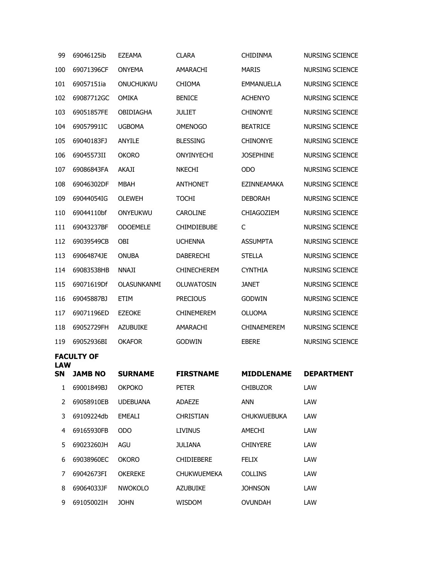| 99               | 69046125ib        | <b>EZEAMA</b>      | <b>CLARA</b>       | <b>CHIDINMA</b>    | NURSING SCIENCE        |
|------------------|-------------------|--------------------|--------------------|--------------------|------------------------|
| 100              | 69071396CF        | <b>ONYEMA</b>      | AMARACHI           | <b>MARIS</b>       | <b>NURSING SCIENCE</b> |
| 101              | 69057151ia        | ONUCHUKWU          | <b>CHIOMA</b>      | <b>EMMANUELLA</b>  | <b>NURSING SCIENCE</b> |
| 102              | 69087712GC        | <b>OMIKA</b>       | <b>BENICE</b>      | <b>ACHENYO</b>     | NURSING SCIENCE        |
| 103              | 69051857FE        | <b>OBIDIAGHA</b>   | <b>JULIET</b>      | <b>CHINONYE</b>    | <b>NURSING SCIENCE</b> |
| 104              | 69057991IC        | <b>UGBOMA</b>      | <b>OMENOGO</b>     | <b>BEATRICE</b>    | <b>NURSING SCIENCE</b> |
| 105              | 69040183FJ        | ANYILE             | <b>BLESSING</b>    | <b>CHINONYE</b>    | NURSING SCIENCE        |
| 106              | 69045573II        | <b>OKORO</b>       | <b>ONYINYECHI</b>  | <b>JOSEPHINE</b>   | <b>NURSING SCIENCE</b> |
| 107              | 69086843FA        | <b>AKAJI</b>       | <b>NKECHI</b>      | <b>ODO</b>         | <b>NURSING SCIENCE</b> |
| 108              | 69046302DF        | <b>MBAH</b>        | <b>ANTHONET</b>    | <b>EZINNEAMAKA</b> | <b>NURSING SCIENCE</b> |
| 109              | 69044054IG        | <b>OLEWEH</b>      | <b>TOCHI</b>       | <b>DEBORAH</b>     | <b>NURSING SCIENCE</b> |
| 110              | 69044110bf        | ONYEUKWU           | <b>CAROLINE</b>    | CHIAGOZIEM         | <b>NURSING SCIENCE</b> |
| 111              | 69043237BF        | <b>ODOEMELE</b>    | <b>CHIMDIEBUBE</b> | C                  | <b>NURSING SCIENCE</b> |
| 112              | 69039549CB        | OBI                | <b>UCHENNA</b>     | <b>ASSUMPTA</b>    | <b>NURSING SCIENCE</b> |
| 113              | 69064874JE        | <b>ONUBA</b>       | <b>DABERECHI</b>   | <b>STELLA</b>      | <b>NURSING SCIENCE</b> |
| 114              | 69083538HB        | <b>NNAJI</b>       | <b>CHINECHEREM</b> | <b>CYNTHIA</b>     | <b>NURSING SCIENCE</b> |
| 115              | 69071619Df        | <b>OLASUNKANMI</b> | OLUWATOSIN         | <b>JANET</b>       | NURSING SCIENCE        |
| 116              | 69045887BJ        | <b>ETIM</b>        | <b>PRECIOUS</b>    | <b>GODWIN</b>      | <b>NURSING SCIENCE</b> |
| 117              | 69071196ED        | <b>EZEOKE</b>      | <b>CHINEMEREM</b>  | <b>OLUOMA</b>      | <b>NURSING SCIENCE</b> |
| 118              | 69052729FH        | <b>AZUBUIKE</b>    | AMARACHI           | <b>CHINAEMEREM</b> | <b>NURSING SCIENCE</b> |
| 119              | 69052936BI        | <b>OKAFOR</b>      | <b>GODWIN</b>      | <b>EBERE</b>       | <b>NURSING SCIENCE</b> |
|                  | <b>FACULTY OF</b> |                    |                    |                    |                        |
| <b>LAW</b><br>SΝ | <b>JAMB NO</b>    | <b>SURNAME</b>     | <b>FIRSTNAME</b>   | <b>MIDDLENAME</b>  | <b>DEPARTMENT</b>      |
| $\mathbf{1}$     | 69001849BJ        | <b>OKPOKO</b>      | <b>PETER</b>       | <b>CHIBUZOR</b>    | LAW                    |
| 2                | 69058910EB        | <b>UDEBUANA</b>    | ADAEZE             | ANN                | LAW                    |
| 3                | 69109224db        | <b>EMEALI</b>      | <b>CHRISTIAN</b>   | <b>CHUKWUEBUKA</b> | LAW                    |
| 4                | 69165930FB        | <b>ODO</b>         | <b>LIVINUS</b>     | AMECHI             | LAW                    |
| 5                | 69023260JH        | AGU                | JULIANA            | <b>CHINYERE</b>    | LAW                    |
| 6                | 69038960EC        | <b>OKORO</b>       | <b>CHIDIEBERE</b>  | <b>FELIX</b>       | LAW                    |
| 7                | 69042673FI        | <b>OKEREKE</b>     | <b>CHUKWUEMEKA</b> | <b>COLLINS</b>     | LAW                    |
| 8                | 69064033JF        | <b>NWOKOLO</b>     | <b>AZUBUIKE</b>    | <b>JOHNSON</b>     | LAW                    |
| 9                | 69105002IH        | <b>JOHN</b>        | WISDOM             | <b>OVUNDAH</b>     | LAW                    |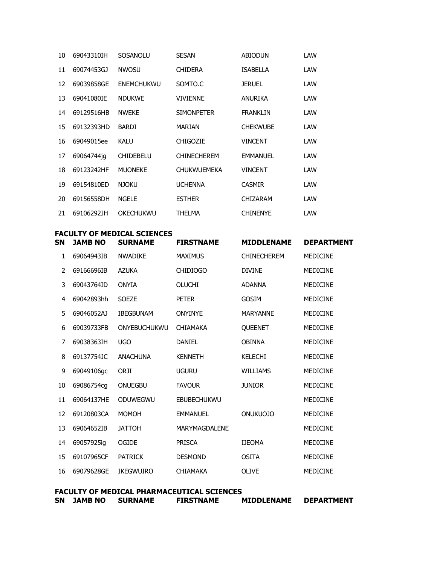| SN | JAMB NO    | <b>FACULTY OF MEDICAL SCIENCES</b><br><b>SURNAME</b> | <b>FIRSTNAME</b>   | <b>MIDDLENAME</b> | <b>DEPARTMENT</b> |
|----|------------|------------------------------------------------------|--------------------|-------------------|-------------------|
| 21 | 69106292JH | <b>OKECHUKWU</b>                                     | <b>THELMA</b>      | <b>CHINENYE</b>   | LAW               |
| 20 | 69156558DH | <b>NGELE</b>                                         | <b>ESTHER</b>      | <b>CHIZARAM</b>   | LAW               |
| 19 | 69154810ED | <b>NJOKU</b>                                         | <b>UCHENNA</b>     | <b>CASMIR</b>     | LAW               |
| 18 | 69123242HF | <b>MUONEKE</b>                                       | <b>CHUKWUEMEKA</b> | <b>VINCENT</b>    | LAW               |
| 17 | 69064744jq | <b>CHIDEBELU</b>                                     | <b>CHINECHEREM</b> | <b>EMMANUEL</b>   | LAW               |
| 16 | 69049015ee | <b>KALU</b>                                          | <b>CHIGOZIE</b>    | <b>VINCENT</b>    | LAW               |
| 15 | 69132393HD | <b>BARDI</b>                                         | <b>MARIAN</b>      | <b>CHEKWUBE</b>   | LAW               |
| 14 | 69129516HB | <b>NWEKE</b>                                         | <b>SIMONPETER</b>  | <b>FRANKLIN</b>   | LAW               |
| 13 | 69041080IE | <b>NDUKWE</b>                                        | <b>VIVIENNE</b>    | <b>ANURIKA</b>    | LAW               |
| 12 | 69039858GE | <b>ENEMCHUKWU</b>                                    | SOMTO.C            | <b>JERUEL</b>     | LAW               |
| 11 | 69074453GJ | <b>NWOSU</b>                                         | <b>CHIDERA</b>     | <b>ISABELLA</b>   | LAW               |
| 10 | 69043310IH | SOSANOLU                                             | <b>SESAN</b>       | <b>ABIODUN</b>    | LAW               |

| SN | JAMB NO    | SUKNAME          | FIRSINAME            | MIDDLENAME         | DEPARIMENI      |
|----|------------|------------------|----------------------|--------------------|-----------------|
| 1  | 69064943IB | <b>NWADIKE</b>   | <b>MAXIMUS</b>       | <b>CHINECHEREM</b> | <b>MEDICINE</b> |
| 2  | 69166696IB | <b>AZUKA</b>     | <b>CHIDIOGO</b>      | <b>DIVINE</b>      | <b>MEDICINE</b> |
| 3  | 69043764ID | <b>ONYIA</b>     | <b>OLUCHI</b>        | <b>ADANNA</b>      | <b>MEDICINE</b> |
| 4  | 69042893hh | <b>SOEZE</b>     | <b>PETER</b>         | <b>GOSIM</b>       | <b>MEDICINE</b> |
| 5  | 69046052AJ | <b>IBEGBUNAM</b> | <b>ONYINYE</b>       | <b>MARYANNE</b>    | <b>MEDICINE</b> |
| 6  | 69039733FB | ONYEBUCHUKWU     | <b>CHIAMAKA</b>      | QUEENET            | <b>MEDICINE</b> |
| 7  | 69038363IH | <b>UGO</b>       | <b>DANIEL</b>        | <b>OBINNA</b>      | <b>MEDICINE</b> |
| 8  | 69137754JC | <b>ANACHUNA</b>  | <b>KENNETH</b>       | <b>KELECHI</b>     | <b>MEDICINE</b> |
| 9  | 69049106gc | ORJI             | <b>UGURU</b>         | <b>WILLIAMS</b>    | <b>MEDICINE</b> |
| 10 | 69086754cg | <b>ONUEGBU</b>   | <b>FAVOUR</b>        | <b>JUNIOR</b>      | <b>MEDICINE</b> |
| 11 | 69064137HE | ODUWEGWU         | <b>EBUBECHUKWU</b>   |                    | <b>MEDICINE</b> |
| 12 | 69120803CA | <b>MOMOH</b>     | <b>EMMANUEL</b>      | ONUKUOJO           | <b>MEDICINE</b> |
| 13 | 69064652IB | <b>JATTOH</b>    | <b>MARYMAGDALENE</b> |                    | <b>MEDICINE</b> |
| 14 | 69057925ig | OGIDE            | <b>PRISCA</b>        | <b>IJEOMA</b>      | <b>MEDICINE</b> |
| 15 | 69107965CF | <b>PATRICK</b>   | <b>DESMOND</b>       | <b>OSITA</b>       | <b>MEDICINE</b> |
| 16 | 69079628GE | <b>IKEGWUIRO</b> | <b>CHIAMAKA</b>      | <b>OLIVE</b>       | <b>MEDICINE</b> |
|    |            |                  |                      |                    |                 |

|    |         |                | FACULTY OF MEDICAL PHARMACEUTICAL SCIENCES |                   |                   |
|----|---------|----------------|--------------------------------------------|-------------------|-------------------|
| SN | JAMB NO | <b>SURNAME</b> | <b>FIRSTNAME</b>                           | <b>MIDDLENAME</b> | <b>DEPARTMENT</b> |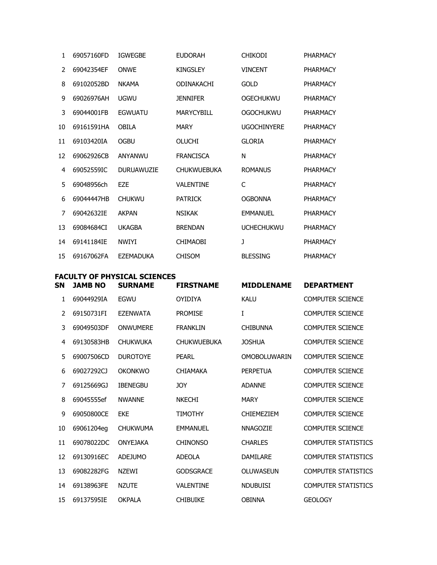| 1             | 69057160FD | <b>IGWEGBE</b>    | <b>EUDORAH</b>     | <b>CHIKODI</b>     | <b>PHARMACY</b> |
|---------------|------------|-------------------|--------------------|--------------------|-----------------|
| $\mathcal{P}$ | 69042354EF | <b>ONWE</b>       | <b>KINGSLEY</b>    | <b>VINCENT</b>     | <b>PHARMACY</b> |
| 8             | 69102052BD | <b>NKAMA</b>      | ODINAKACHI         | <b>GOLD</b>        | <b>PHARMACY</b> |
| 9             | 69026976AH | <b>UGWU</b>       | <b>JENNIFER</b>    | <b>OGECHUKWU</b>   | <b>PHARMACY</b> |
| 3             | 69044001FB | <b>EGWUATU</b>    | <b>MARYCYBILL</b>  | OGOCHUKWU          | <b>PHARMACY</b> |
| 10            | 69161591HA | <b>OBILA</b>      | <b>MARY</b>        | <b>UGOCHINYERE</b> | PHARMACY        |
| 11            | 69103420IA | <b>OGBU</b>       | <b>OLUCHI</b>      | <b>GLORIA</b>      | <b>PHARMACY</b> |
| 12            | 69062926CB | ANYANWU           | <b>FRANCISCA</b>   | N                  | PHARMACY        |
| 4             | 69052559IC | <b>DURUAWUZIE</b> | <b>CHUKWUEBUKA</b> | <b>ROMANUS</b>     | <b>PHARMACY</b> |
| 5             | 69048956ch | <b>EZE</b>        | <b>VALENTINE</b>   | C                  | <b>PHARMACY</b> |
| 6             | 69044447HB | <b>CHUKWU</b>     | <b>PATRICK</b>     | <b>OGBONNA</b>     | <b>PHARMACY</b> |
| 7             | 69042632IE | <b>AKPAN</b>      | <b>NSIKAK</b>      | <b>EMMANUEL</b>    | <b>PHARMACY</b> |
| 13            | 69084684CI | <b>UKAGBA</b>     | <b>BRENDAN</b>     | <b>UCHECHUKWU</b>  | PHARMACY        |
| 14            | 69141184IE | <b>NWIYI</b>      | <b>CHIMAOBI</b>    | J                  | <b>PHARMACY</b> |
| 15            | 69167062FA | <b>EZEMADUKA</b>  | <b>CHISOM</b>      | <b>BLESSING</b>    | PHARMACY        |

#### **FACULTY OF PHYSICAL SCIENCES**

| SΝ | <b>JAMB NO</b> | <b>SURNAME</b>  | <b>FIRSTNAME</b>   | <b>MIDDLENAME</b>   | <b>DEPARTMENT</b>          |
|----|----------------|-----------------|--------------------|---------------------|----------------------------|
| 1  | 69044929IA     | <b>EGWU</b>     | <b>OYIDIYA</b>     | <b>KALU</b>         | <b>COMPUTER SCIENCE</b>    |
| 2  | 69150731FI     | <b>EZENWATA</b> | <b>PROMISE</b>     | I                   | <b>COMPUTER SCIENCE</b>    |
| 3  | 69049503DF     | <b>ONWUMERE</b> | <b>FRANKLIN</b>    | <b>CHIBUNNA</b>     | <b>COMPUTER SCIENCE</b>    |
| 4  | 69130583HB     | <b>CHUKWUKA</b> | <b>CHUKWUEBUKA</b> | <b>JOSHUA</b>       | <b>COMPUTER SCIENCE</b>    |
| 5  | 69007506CD     | <b>DUROTOYE</b> | <b>PEARL</b>       | <b>OMOBOLUWARIN</b> | <b>COMPUTER SCIENCE</b>    |
| 6  | 69027292CJ     | <b>OKONKWO</b>  | <b>CHIAMAKA</b>    | <b>PERPETUA</b>     | <b>COMPUTER SCIENCE</b>    |
| 7  | 69125669GJ     | <b>IBENEGBU</b> | <b>JOY</b>         | <b>ADANNE</b>       | <b>COMPUTER SCIENCE</b>    |
| 8  | 69045555ef     | <b>NWANNE</b>   | <b>NKECHI</b>      | <b>MARY</b>         | <b>COMPUTER SCIENCE</b>    |
| 9  | 69050800CE     | <b>EKE</b>      | <b>TIMOTHY</b>     | <b>CHIEMEZIEM</b>   | <b>COMPUTER SCIENCE</b>    |
| 10 | 69061204eg     | <b>CHUKWUMA</b> | <b>EMMANUEL</b>    | <b>NNAGOZIE</b>     | <b>COMPUTER SCIENCE</b>    |
| 11 | 69078022DC     | <b>ONYEJAKA</b> | <b>CHINONSO</b>    | <b>CHARLES</b>      | <b>COMPUTER STATISTICS</b> |
| 12 | 69130916EC     | <b>ADEJUMO</b>  | <b>ADEOLA</b>      | <b>DAMILARE</b>     | <b>COMPUTER STATISTICS</b> |
| 13 | 69082282FG     | <b>NZFWI</b>    | <b>GODSGRACE</b>   | OLUWASEUN           | <b>COMPUTER STATISTICS</b> |
| 14 | 69138963FE     | <b>NZUTE</b>    | <b>VALENTINE</b>   | <b>NDUBUISI</b>     | <b>COMPUTER STATISTICS</b> |
| 15 | 69137595IE     | <b>OKPALA</b>   | <b>CHIBUIKE</b>    | <b>OBINNA</b>       | <b>GEOLOGY</b>             |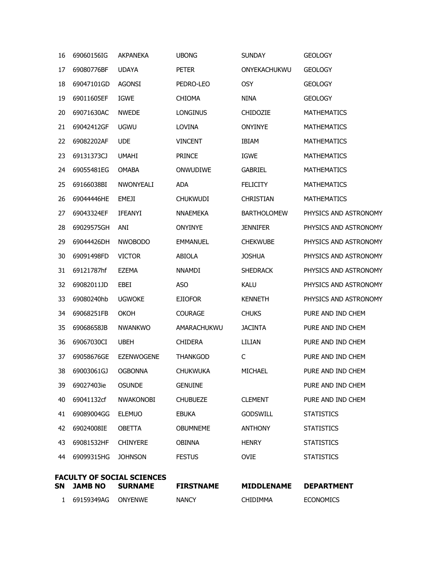| $\mathbf{1}$ | 69159349AG         | ONYENWE                                             | <b>NANCY</b>     | CHIDIMMA           | <b>ECONOMICS</b>      |
|--------------|--------------------|-----------------------------------------------------|------------------|--------------------|-----------------------|
| SN           | <b>JAMB NO</b>     | <b>FACULTY OF SOCIAL SCIENCES</b><br><b>SURNAME</b> | <b>FIRSTNAME</b> | <b>MIDDLENAME</b>  | <b>DEPARTMENT</b>     |
| 44           | 69099315HG         | <b>JOHNSON</b>                                      | <b>FESTUS</b>    | <b>OVIE</b>        | <b>STATISTICS</b>     |
| 43           | 69081532HF         | <b>CHINYERE</b>                                     | <b>OBINNA</b>    | <b>HENRY</b>       | <b>STATISTICS</b>     |
| 42           | 69024008IE         | <b>OBETTA</b>                                       | <b>OBUMNEME</b>  | <b>ANTHONY</b>     | <b>STATISTICS</b>     |
| 41           | 69089004GG         | <b>ELEMUO</b>                                       | <b>EBUKA</b>     | <b>GODSWILL</b>    | <b>STATISTICS</b>     |
| 40           | 69041132cf         | <b>NWAKONOBI</b>                                    | <b>CHUBUEZE</b>  | <b>CLEMENT</b>     | PURE AND IND CHEM     |
| 39           | 69027403ie         | <b>OSUNDE</b>                                       | <b>GENUINE</b>   |                    | PURE AND IND CHEM     |
| 38           | 69003061GJ OGBONNA |                                                     | <b>CHUKWUKA</b>  | MICHAEL            | PURE AND IND CHEM     |
| 37           | 69058676GE         | <b>EZENWOGENE</b>                                   | <b>THANKGOD</b>  | C                  | PURE AND IND CHEM     |
| 36           | 69067030CI         | <b>UBEH</b>                                         | <b>CHIDERA</b>   | LILIAN             | PURE AND IND CHEM     |
| 35           | 69068658JB         | <b>NWANKWO</b>                                      | AMARACHUKWU      | <b>JACINTA</b>     | PURE AND IND CHEM     |
| 34           | 69068251FB         | <b>OKOH</b>                                         | <b>COURAGE</b>   | <b>CHUKS</b>       | PURE AND IND CHEM     |
| 33           | 69080240hb         | <b>UGWOKE</b>                                       | <b>EJIOFOR</b>   | <b>KENNETH</b>     | PHYSICS AND ASTRONOMY |
| 32           | 69082011JD         | EBEI                                                | <b>ASO</b>       | <b>KALU</b>        | PHYSICS AND ASTRONOMY |
| 31           | 69121787hf         | EZEMA                                               | <b>NNAMDI</b>    | <b>SHEDRACK</b>    | PHYSICS AND ASTRONOMY |
| 30           | 69091498FD         | <b>VICTOR</b>                                       | ABIOLA           | <b>JOSHUA</b>      | PHYSICS AND ASTRONOMY |
| 29           | 69044426DH         | <b>NWOBODO</b>                                      | <b>EMMANUEL</b>  | <b>CHEKWUBE</b>    | PHYSICS AND ASTRONOMY |
| 28           | 69029575GH         | ANI                                                 | <b>ONYINYE</b>   | <b>JENNIFER</b>    | PHYSICS AND ASTRONOMY |
| 27           | 69043324EF         | IFEANYI                                             | <b>NNAEMEKA</b>  | <b>BARTHOLOMEW</b> | PHYSICS AND ASTRONOMY |
| 26           | 69044446HE         | <b>EMEJI</b>                                        | <b>CHUKWUDI</b>  | <b>CHRISTIAN</b>   | <b>MATHEMATICS</b>    |
| 25           | 69166038BI         | NWONYEALI                                           | <b>ADA</b>       | <b>FELICITY</b>    | <b>MATHEMATICS</b>    |
| 24           | 69055481EG         | <b>OMABA</b>                                        | ONWUDIWE         | <b>GABRIEL</b>     | <b>MATHEMATICS</b>    |
| 23           | 69131373CJ         | <b>UMAHI</b>                                        | <b>PRINCE</b>    | <b>IGWE</b>        | <b>MATHEMATICS</b>    |
| 22           | 69082202AF         | <b>UDE</b>                                          | <b>VINCENT</b>   | <b>IBIAM</b>       | <b>MATHEMATICS</b>    |
| 21           | 69042412GF         | <b>UGWU</b>                                         | LOVINA           | <b>ONYINYE</b>     | <b>MATHEMATICS</b>    |
| 20           | 69071630AC         | <b>NWEDE</b>                                        | <b>LONGINUS</b>  | <b>CHIDOZIE</b>    | <b>MATHEMATICS</b>    |
| 19           | 69011605EF         | <b>IGWE</b>                                         | <b>CHIOMA</b>    | <b>NINA</b>        | <b>GEOLOGY</b>        |
| 18           | 69047101GD         | <b>AGONSI</b>                                       | PEDRO-LEO        | <b>OSY</b>         | <b>GEOLOGY</b>        |
| 17           | 69080776BF         | <b>UDAYA</b>                                        | <b>PETER</b>     | ONYEKACHUKWU       | <b>GEOLOGY</b>        |
| 16           | 69060156IG         | <b>AKPANEKA</b>                                     | <b>UBONG</b>     | <b>SUNDAY</b>      | <b>GEOLOGY</b>        |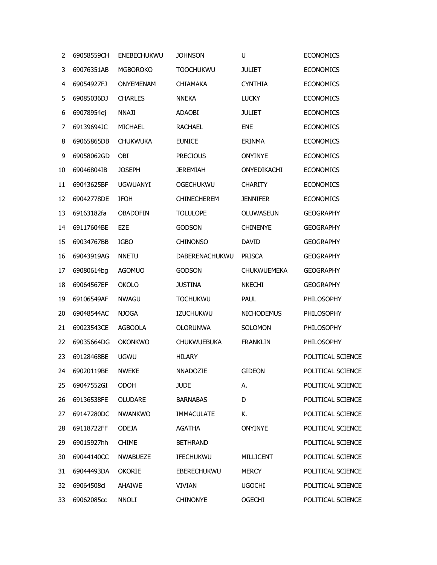| 2  | 69058559CH          | ENEBECHUKWU      | <b>JOHNSON</b>     | U                  | <b>ECONOMICS</b>  |
|----|---------------------|------------------|--------------------|--------------------|-------------------|
| 3  | 69076351AB          | <b>MGBOROKO</b>  | <b>TOOCHUKWU</b>   | <b>JULIET</b>      | <b>ECONOMICS</b>  |
| 4  | 69054927FJ          | <b>ONYEMENAM</b> | <b>CHIAMAKA</b>    | <b>CYNTHIA</b>     | <b>ECONOMICS</b>  |
| 5  | 69085036DJ          | <b>CHARLES</b>   | <b>NNEKA</b>       | <b>LUCKY</b>       | <b>ECONOMICS</b>  |
| 6  | 69078954ej          | <b>NNAJI</b>     | ADAOBI             | <b>JULIET</b>      | <b>ECONOMICS</b>  |
| 7  | 69139694JC          | <b>MICHAEL</b>   | <b>RACHAEL</b>     | <b>ENE</b>         | <b>ECONOMICS</b>  |
| 8  | 69065865DB          | <b>CHUKWUKA</b>  | <b>EUNICE</b>      | <b>ERINMA</b>      | <b>ECONOMICS</b>  |
| 9  | 69058062GD          | OBI              | <b>PRECIOUS</b>    | <b>ONYINYE</b>     | <b>ECONOMICS</b>  |
| 10 | 69046804IB          | <b>JOSEPH</b>    | <b>JEREMIAH</b>    | ONYEDIKACHI        | <b>ECONOMICS</b>  |
| 11 | 69043625BF          | <b>UGWUANYI</b>  | <b>OGECHUKWU</b>   | <b>CHARITY</b>     | <b>ECONOMICS</b>  |
| 12 | 69042778DE          | <b>IFOH</b>      | <b>CHINECHEREM</b> | <b>JENNIFER</b>    | <b>ECONOMICS</b>  |
| 13 | 69163182fa          | <b>OBADOFIN</b>  | <b>TOLULOPE</b>    | OLUWASEUN          | <b>GEOGRAPHY</b>  |
| 14 | 69117604BE          | <b>EZE</b>       | <b>GODSON</b>      | <b>CHINENYE</b>    | <b>GEOGRAPHY</b>  |
| 15 | 69034767BB          | <b>IGBO</b>      | <b>CHINONSO</b>    | <b>DAVID</b>       | <b>GEOGRAPHY</b>  |
| 16 | 69043919AG          | <b>NNETU</b>     | DABERENACHUKWU     | <b>PRISCA</b>      | <b>GEOGRAPHY</b>  |
| 17 | 69080614bg          | <b>AGOMUO</b>    | <b>GODSON</b>      | <b>CHUKWUEMEKA</b> | <b>GEOGRAPHY</b>  |
| 18 | 69064567EF          | <b>OKOLO</b>     | <b>JUSTINA</b>     | <b>NKECHI</b>      | <b>GEOGRAPHY</b>  |
| 19 | 69106549AF          | <b>NWAGU</b>     | <b>TOCHUKWU</b>    | <b>PAUL</b>        | PHILOSOPHY        |
| 20 | 69048544AC          | <b>NJOGA</b>     | <b>IZUCHUKWU</b>   | <b>NICHODEMUS</b>  | PHILOSOPHY        |
| 21 | 69023543CE          | <b>AGBOOLA</b>   | <b>OLORUNWA</b>    | SOLOMON            | PHILOSOPHY        |
| 22 | 69035664DG          | <b>OKONKWO</b>   | <b>CHUKWUEBUKA</b> | <b>FRANKLIN</b>    | PHILOSOPHY        |
| 23 | 69128468BE          | <b>UGWU</b>      | <b>HILARY</b>      |                    | POLITICAL SCIENCE |
|    | 24 69020119BE NWEKE |                  | NNADOZIE           | <b>GIDEON</b>      | POLITICAL SCIENCE |
| 25 | 69047552GI          | <b>ODOH</b>      | <b>JUDE</b>        | А.                 | POLITICAL SCIENCE |
| 26 | 69136538FE          | <b>OLUDARE</b>   | <b>BARNABAS</b>    | D                  | POLITICAL SCIENCE |
| 27 | 69147280DC          | <b>NWANKWO</b>   | <b>IMMACULATE</b>  | Κ.                 | POLITICAL SCIENCE |
| 28 | 69118722FF          | <b>ODEJA</b>     | AGATHA             | <b>ONYINYE</b>     | POLITICAL SCIENCE |
| 29 | 69015927hh          | <b>CHIME</b>     | <b>BETHRAND</b>    |                    | POLITICAL SCIENCE |
| 30 | 69044140CC          | <b>NWABUEZE</b>  | <b>IFECHUKWU</b>   | MILLICENT          | POLITICAL SCIENCE |
| 31 | 69044493DA          | <b>OKORIE</b>    | <b>EBERECHUKWU</b> | <b>MERCY</b>       | POLITICAL SCIENCE |
| 32 | 69064508ci          | AHAIWE           | <b>VIVIAN</b>      | <b>UGOCHI</b>      | POLITICAL SCIENCE |
| 33 | 69062085cc          | <b>NNOLI</b>     | <b>CHINONYE</b>    | <b>OGECHI</b>      | POLITICAL SCIENCE |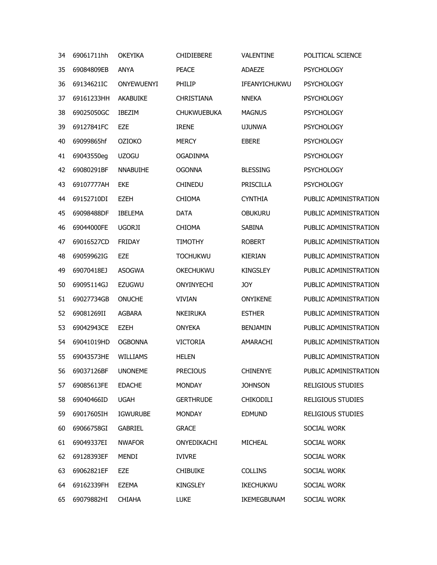| 34 | 69061711hh         | <b>OKEYIKA</b>    | <b>CHIDIEBERE</b>  | VALENTINE        | POLITICAL SCIENCE        |
|----|--------------------|-------------------|--------------------|------------------|--------------------------|
| 35 | 69084809EB         | <b>ANYA</b>       | <b>PEACE</b>       | <b>ADAEZE</b>    | <b>PSYCHOLOGY</b>        |
| 36 | 69134621IC         | <b>ONYEWUENYI</b> | PHILIP             | IFEANYICHUKWU    | <b>PSYCHOLOGY</b>        |
| 37 | 69161233HH         | AKABUIKE          | <b>CHRISTIANA</b>  | <b>NNEKA</b>     | <b>PSYCHOLOGY</b>        |
| 38 | 69025050GC         | <b>IBEZIM</b>     | <b>CHUKWUEBUKA</b> | <b>MAGNUS</b>    | <b>PSYCHOLOGY</b>        |
| 39 | 69127841FC         | EZE               | <b>IRENE</b>       | <b>UJUNWA</b>    | <b>PSYCHOLOGY</b>        |
| 40 | 69099865hf         | <b>OZIOKO</b>     | <b>MERCY</b>       | <b>EBERE</b>     | <b>PSYCHOLOGY</b>        |
| 41 | 69043550eg         | <b>UZOGU</b>      | <b>OGADINMA</b>    |                  | <b>PSYCHOLOGY</b>        |
| 42 | 69080291BF         | <b>NNABUIHE</b>   | <b>OGONNA</b>      | <b>BLESSING</b>  | <b>PSYCHOLOGY</b>        |
| 43 | 69107777AH         | <b>EKE</b>        | <b>CHINEDU</b>     | PRISCILLA        | <b>PSYCHOLOGY</b>        |
| 44 | 69152710DI         | <b>EZEH</b>       | <b>CHIOMA</b>      | <b>CYNTHIA</b>   | PUBLIC ADMINISTRATION    |
| 45 | 69098488DF         | <b>IBELEMA</b>    | <b>DATA</b>        | <b>OBUKURU</b>   | PUBLIC ADMINISTRATION    |
| 46 | 69044000FE         | <b>UGORJI</b>     | <b>CHIOMA</b>      | SABINA           | PUBLIC ADMINISTRATION    |
| 47 | 69016527CD         | <b>FRIDAY</b>     | <b>TIMOTHY</b>     | <b>ROBERT</b>    | PUBLIC ADMINISTRATION    |
| 48 | 69059962IG         | <b>EZE</b>        | <b>TOCHUKWU</b>    | <b>KIERIAN</b>   | PUBLIC ADMINISTRATION    |
| 49 | 69070418EJ         | <b>ASOGWA</b>     | OKECHUKWU          | <b>KINGSLEY</b>  | PUBLIC ADMINISTRATION    |
| 50 | 69095114GJ         | <b>EZUGWU</b>     | ONYINYECHI         | <b>JOY</b>       | PUBLIC ADMINISTRATION    |
| 51 | 69027734GB         | <b>ONUCHE</b>     | <b>VIVIAN</b>      | <b>ONYIKENE</b>  | PUBLIC ADMINISTRATION    |
| 52 | 69081269II         | <b>AGBARA</b>     | <b>NKEIRUKA</b>    | <b>ESTHER</b>    | PUBLIC ADMINISTRATION    |
| 53 | 69042943CE         | <b>EZEH</b>       | <b>ONYEKA</b>      | <b>BENJAMIN</b>  | PUBLIC ADMINISTRATION    |
| 54 | 69041019HD         | <b>OGBONNA</b>    | <b>VICTORIA</b>    | AMARACHI         | PUBLIC ADMINISTRATION    |
| 55 | 69043573HE         | <b>WILLIAMS</b>   | <b>HELEN</b>       |                  | PUBLIC ADMINISTRATION    |
| 56 | 69037126BF UNONEME |                   | <b>PRECIOUS</b>    | <b>CHINENYE</b>  | PUBLIC ADMINISTRATION    |
| 57 | 69085613FE         | <b>EDACHE</b>     | <b>MONDAY</b>      | <b>JOHNSON</b>   | <b>RELIGIOUS STUDIES</b> |
| 58 | 69040466ID         | <b>UGAH</b>       | <b>GERTHRUDE</b>   | CHIKODILI        | <b>RELIGIOUS STUDIES</b> |
| 59 | 69017605IH         | <b>IGWURUBE</b>   | <b>MONDAY</b>      | <b>EDMUND</b>    | <b>RELIGIOUS STUDIES</b> |
| 60 | 69066758GI         | <b>GABRIEL</b>    | <b>GRACE</b>       |                  | SOCIAL WORK              |
| 61 | 69049337EI         | <b>NWAFOR</b>     | ONYEDIKACHI        | MICHEAL          | SOCIAL WORK              |
| 62 | 69128393EF         | <b>MENDI</b>      | <b>IVIVRE</b>      |                  | SOCIAL WORK              |
| 63 | 69062821EF         | EZE               | <b>CHIBUIKE</b>    | <b>COLLINS</b>   | SOCIAL WORK              |
| 64 | 69162339FH         | <b>EZEMA</b>      | <b>KINGSLEY</b>    | <b>IKECHUKWU</b> | SOCIAL WORK              |
| 65 | 69079882HI         | <b>CHIAHA</b>     | <b>LUKE</b>        | IKEMEGBUNAM      | SOCIAL WORK              |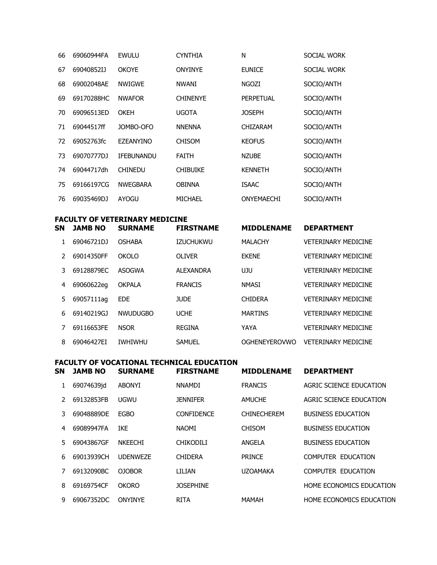| 66 | 69060944FA | <b>EWULU</b>      | <b>CYNTHIA</b>  | N                | SOCIAL WORK |
|----|------------|-------------------|-----------------|------------------|-------------|
| 67 | 69040852IJ | <b>OKOYE</b>      | <b>ONYINYE</b>  | <b>EUNICE</b>    | SOCIAL WORK |
| 68 | 69002048AE | <b>NWIGWE</b>     | <b>NWANI</b>    | <b>NGOZI</b>     | SOCIO/ANTH  |
| 69 | 69170288HC | <b>NWAFOR</b>     | <b>CHINENYE</b> | <b>PERPETUAL</b> | SOCIO/ANTH  |
| 70 | 69096513ED | OKEH              | UGOTA           | <b>JOSEPH</b>    | SOCIO/ANTH  |
| 71 | 69044517ff | JOMBO-OFO         | <b>NNENNA</b>   | CHIZARAM         | SOCIO/ANTH  |
| 72 | 69052763fc | EZEANYINO         | <b>CHISOM</b>   | <b>KEOFUS</b>    | SOCIO/ANTH  |
| 73 | 69070777DJ | <b>IFEBUNANDU</b> | FAITH           | <b>NZUBE</b>     | SOCIO/ANTH  |
| 74 | 69044717dh | <b>CHINEDU</b>    | <b>CHIBUIKE</b> | <b>KENNETH</b>   | SOCIO/ANTH  |
| 75 | 69166197CG | <b>NWEGBARA</b>   | <b>OBINNA</b>   | <b>ISAAC</b>     | SOCIO/ANTH  |
| 76 | 69035469DJ | AYOGU             | MICHAEL         | ONYEMAECHI       | SOCIO/ANTH  |

## FACULTY OF VETERINARY MEDICINE<br>SN JAMB NO SURNAME FIRS'

**ETDCTNAME** 

| N             | <b>JAMB NO</b> | <b>SURNAME</b>  | <b>FIRSTNAME</b> | <b>MIDDLENAME</b>    | <b>DEPARTMENT</b>          |
|---------------|----------------|-----------------|------------------|----------------------|----------------------------|
|               | 69046721DJ     | <b>OSHABA</b>   | <b>IZUCHUKWU</b> | <b>MALACHY</b>       | <b>VETERINARY MEDICINE</b> |
| $\mathcal{L}$ | 69014350FF     | <b>OKOLO</b>    | OLIVER           | <b>FKFNF</b>         | <b>VETERINARY MEDICINE</b> |
| 3             | 69128879EC     | ASOGWA          | <b>ALEXANDRA</b> | UJU                  | <b>VETERINARY MEDICINE</b> |
| 4             | 69060622eg     | <b>OKPALA</b>   | <b>FRANCIS</b>   | <b>NMASI</b>         | <b>VETERINARY MEDICINE</b> |
| 5.            | 69057111ag     | <b>EDE</b>      | <b>JUDE</b>      | <b>CHIDERA</b>       | <b>VETERINARY MEDICINE</b> |
| 6             | 69140219G1     | <b>NWUDUGBO</b> | <b>UCHE</b>      | <b>MARTINS</b>       | <b>VETERINARY MEDICINE</b> |
|               | 69116653FE     | <b>NSOR</b>     | <b>REGINA</b>    | YAYA                 | <b>VETERINARY MEDICINE</b> |
| 8             | 69046427EI     | <b>IWHIWHU</b>  | <b>SAMUEL</b>    | <b>OGHENEYEROVWO</b> | <b>VETERINARY MEDICINE</b> |

# FACULTY OF VOCATIONAL TECHNICAL EDUCATION<br>SN JAMB NO SURNAME FIRSTNAME MIDDLENAME DEPARTMENT

| эN            | JAMB NO    | SUKNAME         | FIRSINAME         | MIDDLENAME         | DEPARIMENI                |
|---------------|------------|-----------------|-------------------|--------------------|---------------------------|
|               | 69074639jd | <b>ABONYI</b>   | <b>NNAMDI</b>     | <b>FRANCIS</b>     | AGRIC SCIENCE EDUCATION   |
| $\mathcal{P}$ | 69132853FB | UGWU            | <b>JENNIFER</b>   | <b>AMUCHE</b>      | AGRIC SCIENCE EDUCATION   |
| 3             | 69048889DE | <b>EGBO</b>     | <b>CONFIDENCE</b> | <b>CHINECHEREM</b> | <b>BUSINESS EDUCATION</b> |
| 4             | 69089947FA | <b>IKE</b>      | <b>NAOMI</b>      | <b>CHISOM</b>      | <b>BUSINESS EDUCATION</b> |
| 5.            | 69043867GF | <b>NKEECHI</b>  | <b>CHIKODILI</b>  | ANGELA             | <b>BUSINESS EDUCATION</b> |
| 6             | 69013939CH | <b>UDENWEZE</b> | <b>CHIDERA</b>    | <b>PRINCE</b>      | <b>COMPUTER EDUCATION</b> |
|               | 69132090BC | <b>OJOBOR</b>   | LILIAN            | <b>UZOAMAKA</b>    | <b>COMPUTER EDUCATION</b> |
| 8             | 69169754CF | <b>OKORO</b>    | <b>JOSEPHINE</b>  |                    | HOME ECONOMICS EDUCATION  |
| 9             | 69067352DC | <b>ONYINYE</b>  | <b>RITA</b>       | <b>MAMAH</b>       | HOME ECONOMICS EDUCATION  |